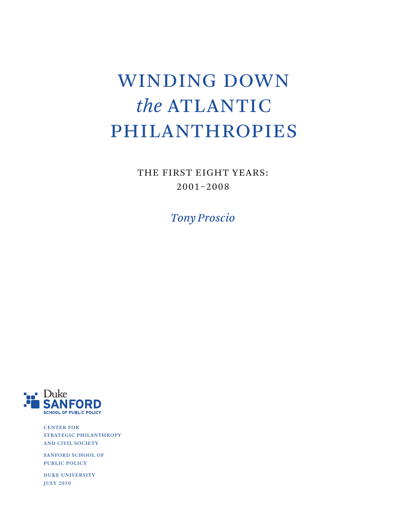## WINDING DOWN *the* ATLANTIC PHILANTHROPIES

THE FIRST EIGHT YEARS: 2001–2008

*Tony Proscio*



CENTER FOR STRATEGIC PHILANTHROPY AND CIVIL SOCIETY

SANFORD SCHOOL OF PUBLIC POLICY

DUKE UNIVERSITY JULY 2010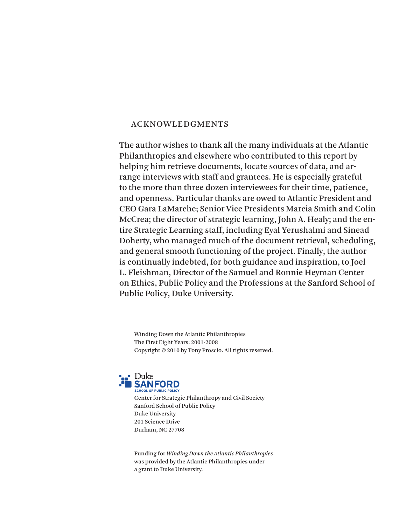### ACKNOWLEDGMENTS

The author wishes to thank all the many individuals at the Atlantic Philanthropies and elsewhere who contributed to this report by helping him retrieve documents, locate sources of data, and arrange interviews with staff and grantees. He is especially grateful to the more than three dozen interviewees for their time, patience, and openness. Particular thanks are owed to Atlantic President and CEO Gara LaMarche; Senior Vice Presidents Marcia Smith and Colin McCrea; the director of strategic learning, John A. Healy; and the entire Strategic Learning staff, including Eyal Yerushalmi and Sinead Doherty, who managed much of the document retrieval, scheduling, and general smooth functioning of the project. Finally, the author is continually indebted, for both guidance and inspiration, to Joel L. Fleishman, Director of the Samuel and Ronnie Heyman Center on Ethics, Public Policy and the Professions at the Sanford School of Public Policy, Duke University.

Winding Down the Atlantic Philanthropies The First Eight Years: 2001-2008 Copyright © 2010 by Tony Proscio. All rights reserved.



Center for Strategic Philanthropy and Civil Society Sanford School of Public Policy Duke University 201 Science Drive Durham, NC 27708

Funding for *Winding Down the Atlantic Philanthropies* was provided by the Atlantic Philanthropies under a grant to Duke University.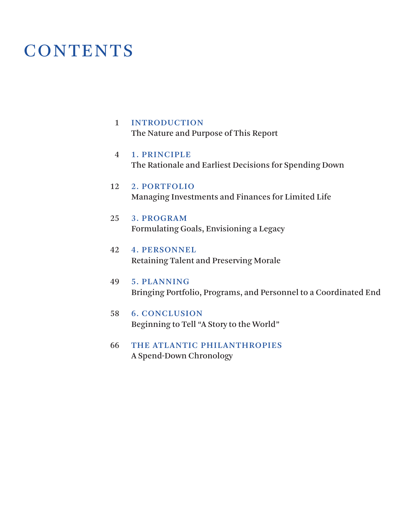## **CONTENTS**

## 1 INTRODUCTION

[The Nature and Purpose of This Report](#page-3-0)

#### 1. PRINCIPLE [The Rationale and Earliest Decisions for Spending Down](#page-6-0) 4

#### 2. PORTFOLIO [Managing Investments and Finances for Limited Life](#page-14-0) 12

#### 3. PROGRAM [Formulating Goals, Envisioning a Legacy](#page-27-0) 25

#### 4. PERSONNEL [Retaining Talent and Preserving Morale](#page-44-0) 42

#### 5. PLANNING [Bringing Portfolio, Programs, and Personnel to a Coordinated End](#page-51-0) 49

#### 6. CONCLUSION [Beginning to Tell "A Story to the World"](#page-60-0) 58

#### [THE ATLANTIC PHILANTHROPIES](#page-68-0)  A Spend-Down Chronology 66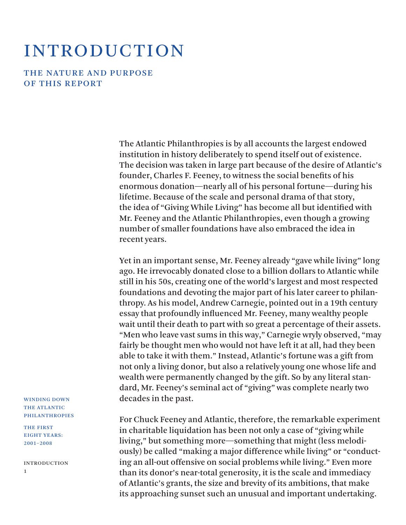## <span id="page-3-0"></span>**INTRODUCTION**

THE NATURE AND PURPOSE OF THIS REPORT

> The Atlantic Philanthropies is by all accounts the largest endowed institution in history deliberately to spend itself out of existence. The decision was taken in large part because of the desire of Atlantic's founder, Charles F. Feeney, to witness the social benefits of his enormous donation—nearly all of his personal fortune—during his lifetime. Because of the scale and personal drama of that story, the idea of "Giving While Living" has become all but identified with Mr. Feeney and the Atlantic Philanthropies, even though a growing number of smaller foundations have also embraced the idea in recent years.

> Yet in an important sense, Mr. Feeney already "gave while living" long ago. He irrevocably donated close to a billion dollars to Atlantic while still in his 50s, creating one of the world's largest and most respected foundations and devoting the major part of his later career to philanthropy. As his model, Andrew Carnegie, pointed out in a 19th century essay that profoundly influenced Mr. Feeney, many wealthy people wait until their death to part with so great a percentage of their assets. "Men who leave vast sums in this way," Carnegie wryly observed, "may fairly be thought men who would not have left it at all, had they been able to take it with them." Instead, Atlantic's fortune was a gift from not only a living donor, but also a relatively young one whose life and wealth were permanently changed by the gift. So by any literal standard, Mr. Feeney's seminal act of "giving" was complete nearly two decades in the past.

> For Chuck Feeney and Atlantic, therefore, the remarkable experiment in charitable liquidation has been not only a case of "giving while living," but something more—something that might (less melodiously) be called "making a major difference while living" or "conducting an all-out offensive on social problems while living." Even more than its donor's near-total generosity, it is the scale and immediacy of Atlantic's grants, the size and brevity of its ambitions, that make its approaching sunset such an unusual and important undertaking.

WINDING DOWN THE ATLANTIC PHILANTHROPIES

THE FIRST EIGHT YEARS: 2001–2008

**INTRODUCTION** 1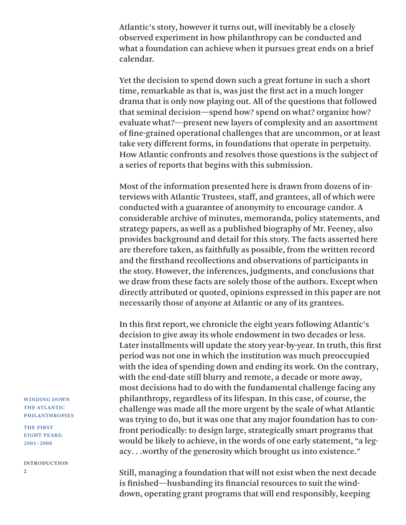Atlantic's story, however it turns out, will inevitably be a closely observed experiment in how philanthropy can be conducted and what a foundation can achieve when it pursues great ends on a brief calendar.

Yet the decision to spend down such a great fortune in such a short time, remarkable as that is, was just the first act in a much longer drama that is only now playing out. All of the questions that followed that seminal decision—spend how? spend on what? organize how? evaluate what?—present new layers of complexity and an assortment of fine-grained operational challenges that are uncommon, or at least take very different forms, in foundations that operate in perpetuity. How Atlantic confronts and resolves those questions is the subject of a series of reports that begins with this submission.

Most of the information presented here is drawn from dozens of interviews with Atlantic Trustees, staff, and grantees, all of which were conducted with a guarantee of anonymity to encourage candor. A considerable archive of minutes, memoranda, policy statements, and strategy papers, as well as a published biography of Mr. Feeney, also provides background and detail for this story. The facts asserted here are therefore taken, as faithfully as possible, from the written record and the firsthand recollections and observations of participants in the story. However, the inferences, judgments, and conclusions that we draw from these facts are solely those of the authors. Except when directly attributed or quoted, opinions expressed in this paper are not necessarily those of anyone at Atlantic or any of its grantees.

In this first report, we chronicle the eight years following Atlantic's decision to give away its whole endowment in two decades or less. Later installments will update the story year-by-year. In truth, this first period was not one in which the institution was much preoccupied with the idea of spending down and ending its work. On the contrary, with the end-date still blurry and remote, a decade or more away, most decisions had to do with the fundamental challenge facing any philanthropy, regardless of its lifespan. In this case, of course, the challenge was made all the more urgent by the scale of what Atlantic was trying to do, but it was one that any major foundation has to confront periodically: to design large, strategically smart programs that would be likely to achieve, in the words of one early statement, "a legacy. . .worthy of the generosity which brought us into existence."

Still, managing a foundation that will not exist when the next decade is finished—husbanding its financial resources to suit the winddown, operating grant programs that will end responsibly, keeping

WINDING DOWN THE ATLANTIC PHILANTHROPIES

THE FIRST EIGHT YEARS: 2001–2008

**INTRODUCTION**  $\overline{2}$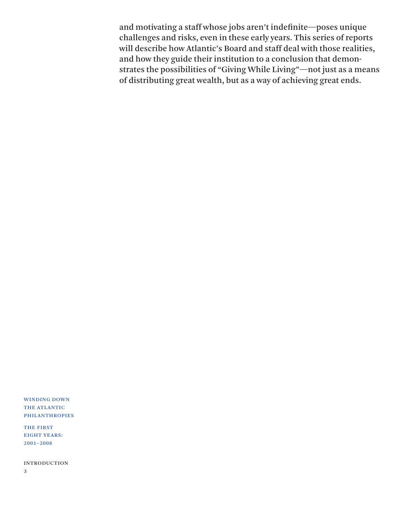and motivating a staff whose jobs aren't indefinite—poses unique challenges and risks, even in these early years. This series of reports will describe how Atlantic's Board and staff deal with those realities, and how they guide their institution to a conclusion that demonstrates the possibilities of "Giving While Living"—not just as a means of distributing great wealth, but as a way of achieving great ends.

WINDING DOWN THE ATLANTIC PHILANTHROPIES

THE FIRST EIGHT YEARS: 2001–2008

**INTRODUCTION** 

3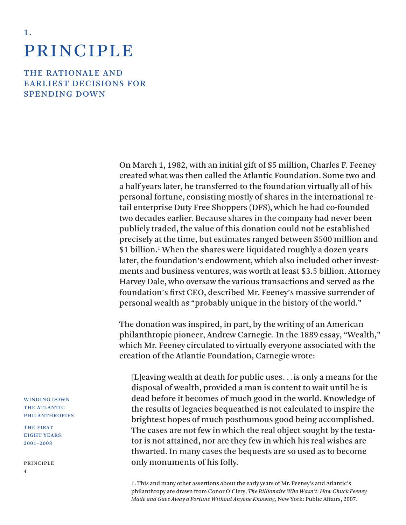# **PRINCIPLE**

<span id="page-6-0"></span>1 .

THE RATIONALE AND EARLIEST DECISIONS FOR **SPENDING DOWN** 

> On March 1, 1982, with an initial gift of \$5 million, Charles F. Feeney created what was then called the Atlantic Foundation. Some two and a half years later, he transferred to the foundation virtually all of his personal fortune, consisting mostly of shares in the international retail enterprise Duty Free Shoppers (DFS), which he had co-founded two decades earlier. Because shares in the company had never been publicly traded, the value of this donation could not be established precisely at the time, but estimates ranged between \$500 million and \$1 billion.<sup>1</sup> When the shares were liquidated roughly a dozen years later, the foundation's endowment, which also included other investments and business ventures, was worth at least \$3.5 billion. Attorney Harvey Dale, who oversaw the various transactions and served as the foundation's first CEO, described Mr. Feeney's massive surrender of personal wealth as "probably unique in the history of the world."

> The donation was inspired, in part, by the writing of an American philanthropic pioneer, Andrew Carnegie. In the 1889 essay, "Wealth," which Mr. Feeney circulated to virtually everyone associated with the creation of the Atlantic Foundation, Carnegie wrote:

[L]eaving wealth at death for public uses. . .is only a means for the disposal of wealth, provided a man is content to wait until he is dead before it becomes of much good in the world. Knowledge of the results of legacies bequeathed is not calculated to inspire the brightest hopes of much posthumous good being accomplished. The cases are not few in which the real object sought by the testator is not attained, nor are they few in which his real wishes are thwarted. In many cases the bequests are so used as to become only monuments of his folly.

1. This and many other assertions about the early years of Mr. Feeney's and Atlantic's philanthropy are drawn from Conor O'Clery, *The Billionaire Who Wasn't: How Chuck Feeney Made and Gave Away a Fortune Without Anyone Knowing,* New York: Public Affairs, 2007.

WINDING DOWN THE ATLANTIC PHILANTHROPIES

THE FIRST EIGHT YEARS: 2001–2008

PRINCIPLE 4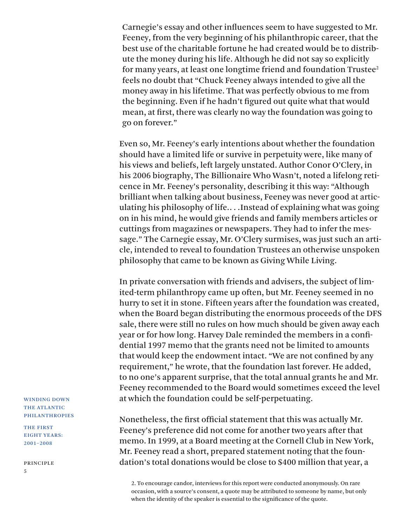Carnegie's essay and other influences seem to have suggested to Mr. Feeney, from the very beginning of his philanthropic career, that the best use of the charitable fortune he had created would be to distribute the money during his life. Although he did not say so explicitly for many years, at least one longtime friend and foundation Trustee<sup>2</sup> feels no doubt that "Chuck Feeney always intended to give all the money away in his lifetime. That was perfectly obvious to me from the beginning. Even if he hadn't figured out quite what that would mean, at first, there was clearly no way the foundation was going to go on forever."

Even so, Mr. Feeney's early intentions about whether the foundation should have a limited life or survive in perpetuity were, like many of his views and beliefs, left largely unstated. Author Conor O'Clery, in his 2006 biography, The Billionaire Who Wasn't, noted a lifelong reticence in Mr. Feeney's personality, describing it this way: "Although brilliant when talking about business, Feeney was never good at articulating his philosophy of life.. . .Instead of explaining what was going on in his mind, he would give friends and family members articles or cuttings from magazines or newspapers. They had to infer the message." The Carnegie essay, Mr. O'Clery surmises, was just such an article, intended to reveal to foundation Trustees an otherwise unspoken philosophy that came to be known as Giving While Living.

In private conversation with friends and advisers, the subject of limited-term philanthropy came up often, but Mr. Feeney seemed in no hurry to set it in stone. Fifteen years after the foundation was created, when the Board began distributing the enormous proceeds of the DFS sale, there were still no rules on how much should be given away each year or for how long. Harvey Dale reminded the members in a confidential 1997 memo that the grants need not be limited to amounts that would keep the endowment intact. "We are not confined by any requirement," he wrote, that the foundation last forever. He added, to no one's apparent surprise, that the total annual grants he and Mr. Feeney recommended to the Board would sometimes exceed the level at which the foundation could be self-perpetuating.

Nonetheless, the first official statement that this was actually Mr. Feeney's preference did not come for another two years after that memo. In 1999, at a Board meeting at the Cornell Club in New York, Mr. Feeney read a short, prepared statement noting that the foundation's total donations would be close to \$400 million that year, a

2. To encourage candor, interviews for this report were conducted anonymously. On rare occasion, with a source's consent, a quote may be attributed to someone by name, but only when the identity of the speaker is essential to the significance of the quote.

WINDING DOWN THE ATLANTIC PHILANTHROPIES

THE FIRST EIGHT YEARS: 2001–2008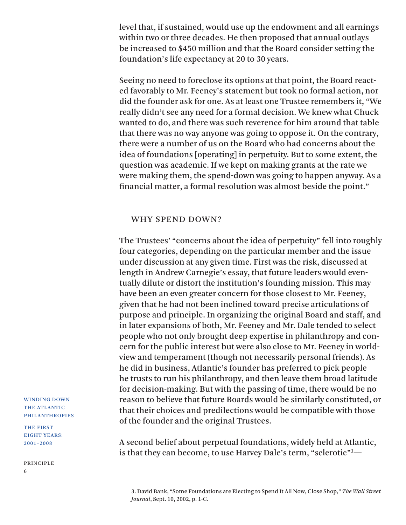level that, if sustained, would use up the endowment and all earnings within two or three decades. He then proposed that annual outlays be increased to \$450 million and that the Board consider setting the foundation's life expectancy at 20 to 30 years.

Seeing no need to foreclose its options at that point, the Board reacted favorably to Mr. Feeney's statement but took no formal action, nor did the founder ask for one. As at least one Trustee remembers it, "We really didn't see any need for a formal decision. We knew what Chuck wanted to do, and there was such reverence for him around that table that there was no way anyone was going to oppose it. On the contrary, there were a number of us on the Board who had concerns about the idea of foundations [operating] in perpetuity. But to some extent, the question was academic. If we kept on making grants at the rate we were making them, the spend-down was going to happen anyway. As a financial matter, a formal resolution was almost beside the point."

#### WHY SPEND DOWN?

The Trustees' "concerns about the idea of perpetuity" fell into roughly four categories, depending on the particular member and the issue under discussion at any given time. First was the risk, discussed at length in Andrew Carnegie's essay, that future leaders would eventually dilute or distort the institution's founding mission. This may have been an even greater concern for those closest to Mr. Feeney, given that he had not been inclined toward precise articulations of purpose and principle. In organizing the original Board and staff, and in later expansions of both, Mr. Feeney and Mr. Dale tended to select people who not only brought deep expertise in philanthropy and concern for the public interest but were also close to Mr. Feeney in worldview and temperament (though not necessarily personal friends). As he did in business, Atlantic's founder has preferred to pick people he trusts to run his philanthropy, and then leave them broad latitude for decision-making. But with the passing of time, there would be no reason to believe that future Boards would be similarly constituted, or that their choices and predilections would be compatible with those of the founder and the original Trustees.

A second belief about perpetual foundations, widely held at Atlantic, is that they can become, to use Harvey Dale's term, "sclerotic"3 —

3. David Bank, "Some Foundations are Electing to Spend It All Now, Close Shop," *The Wall Street Journal*, Sept. 10, 2002, p. 1-C.

WINDING DOWN THE ATLANTIC PHILANTHROPIES

THE FIRST EIGHT YEARS: 2001–2008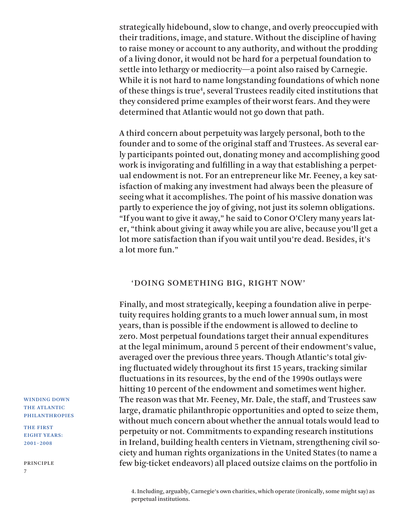strategically hidebound, slow to change, and overly preoccupied with their traditions, image, and stature. Without the discipline of having to raise money or account to any authority, and without the prodding of a living donor, it would not be hard for a perpetual foundation to settle into lethargy or mediocrity—a point also raised by Carnegie. While it is not hard to name longstanding foundations of which none of these things is true<sup>4</sup>, several Trustees readily cited institutions that they considered prime examples of their worst fears. And they were determined that Atlantic would not go down that path.

A third concern about perpetuity was largely personal, both to the founder and to some of the original staff and Trustees. As several early participants pointed out, donating money and accomplishing good work is invigorating and fulfilling in a way that establishing a perpetual endowment is not. For an entrepreneur like Mr. Feeney, a key satisfaction of making any investment had always been the pleasure of seeing what it accomplishes. The point of his massive donation was partly to experience the joy of giving, not just its solemn obligations. "If you want to give it away," he said to Conor O'Clery many years later, "think about giving it away while you are alive, because you'll get a lot more satisfaction than if you wait until you're dead. Besides, it's a lot more fun."

### 'DOING SOMETHING BIG, RIGHT NOW'

Finally, and most strategically, keeping a foundation alive in perpetuity requires holding grants to a much lower annual sum, in most years, than is possible if the endowment is allowed to decline to zero. Most perpetual foundations target their annual expenditures at the legal minimum, around 5 percent of their endowment's value, averaged over the previous three years. Though Atlantic's total giving fluctuated widely throughout its first 15 years, tracking similar fluctuations in its resources, by the end of the 1990s outlays were hitting 10 percent of the endowment and sometimes went higher. The reason was that Mr. Feeney, Mr. Dale, the staff, and Trustees saw large, dramatic philanthropic opportunities and opted to seize them, without much concern about whether the annual totals would lead to perpetuity or not. Commitments to expanding research institutions in Ireland, building health centers in Vietnam, strengthening civil society and human rights organizations in the United States (to name a few big-ticket endeavors) all placed outsize claims on the portfolio in

4. Including, arguably, Carnegie's own charities, which operate (ironically, some might say) as perpetual institutions.

WINDING DOWN THE ATLANTIC PHILANTHROPIES

THE FIRST EIGHT YEARS: 2001–2008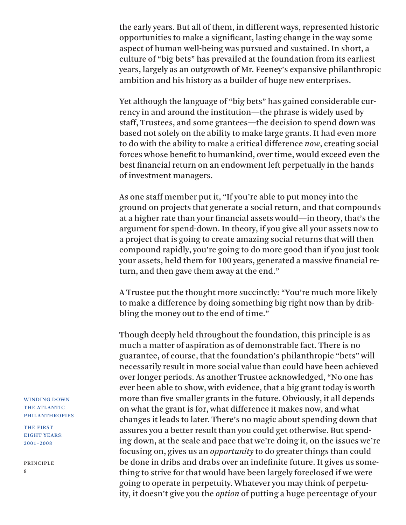the early years. But all of them, in different ways, represented historic opportunities to make a significant, lasting change in the way some aspect of human well-being was pursued and sustained. In short, a culture of "big bets" has prevailed at the foundation from its earliest years, largely as an outgrowth of Mr. Feeney's expansive philanthropic ambition and his history as a builder of huge new enterprises.

Yet although the language of "big bets" has gained considerable currency in and around the institution—the phrase is widely used by staff, Trustees, and some grantees—the decision to spend down was based not solely on the ability to make large grants. It had even more to do with the ability to make a critical difference *now*, creating social forces whose benefit to humankind, over time, would exceed even the best financial return on an endowment left perpetually in the hands of investment managers.

As one staff member put it, "If you're able to put money into the ground on projects that generate a social return, and that compounds at a higher rate than your financial assets would—in theory, that's the argument for spend-down. In theory, if you give all your assets now to a project that is going to create amazing social returns that will then compound rapidly, you're going to do more good than if you just took your assets, held them for 100 years, generated a massive financial return, and then gave them away at the end."

A Trustee put the thought more succinctly: "You're much more likely to make a difference by doing something big right now than by dribbling the money out to the end of time."

Though deeply held throughout the foundation, this principle is as much a matter of aspiration as of demonstrable fact. There is no guarantee, of course, that the foundation's philanthropic "bets" will necessarily result in more social value than could have been achieved over longer periods. As another Trustee acknowledged, "No one has ever been able to show, with evidence, that a big grant today is worth more than five smaller grants in the future. Obviously, it all depends on what the grant is for, what difference it makes now, and what changes it leads to later. There's no magic about spending down that assures you a better result than you could get otherwise. But spending down, at the scale and pace that we're doing it, on the issues we're focusing on, gives us an *opportunity* to do greater things than could be done in dribs and drabs over an indefinite future. It gives us something to strive for that would have been largely foreclosed if we were going to operate in perpetuity. Whatever you may think of perpetuity, it doesn't give you the *option* of putting a huge percentage of your

WINDING DOWN THE ATLANTIC PHILANTHROPIES

THE FIRST EIGHT YEARS: 2001–2008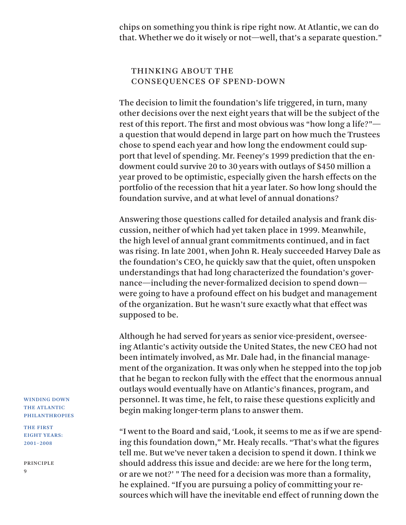chips on something you think is ripe right now. At Atlantic, we can do that. Whether we do it wisely or not—well, that's a separate question."

## THINKING ABOUT THE CONSEQUENCES OF SPEND-DOWN

The decision to limit the foundation's life triggered, in turn, many other decisions over the next eight years that will be the subject of the rest of this report. The first and most obvious was "how long a life?" a question that would depend in large part on how much the Trustees chose to spend each year and how long the endowment could support that level of spending. Mr. Feeney's 1999 prediction that the endowment could survive 20 to 30 years with outlays of \$450 million a year proved to be optimistic, especially given the harsh effects on the portfolio of the recession that hit a year later. So how long should the foundation survive, and at what level of annual donations?

Answering those questions called for detailed analysis and frank discussion, neither of which had yet taken place in 1999. Meanwhile, the high level of annual grant commitments continued, and in fact was rising. In late 2001, when John R. Healy succeeded Harvey Dale as the foundation's CEO, he quickly saw that the quiet, often unspoken understandings that had long characterized the foundation's governance—including the never-formalized decision to spend down were going to have a profound effect on his budget and management of the organization. But he wasn't sure exactly what that effect was supposed to be.

Although he had served for years as senior vice-president, overseeing Atlantic's activity outside the United States, the new CEO had not been intimately involved, as Mr. Dale had, in the financial management of the organization. It was only when he stepped into the top job that he began to reckon fully with the effect that the enormous annual outlays would eventually have on Atlantic's finances, program, and personnel. It was time, he felt, to raise these questions explicitly and begin making longer-term plans to answer them.

"I went to the Board and said, 'Look, it seems to me as if we are spending this foundation down," Mr. Healy recalls. "That's what the figures tell me. But we've never taken a decision to spend it down. I think we should address this issue and decide: are we here for the long term, or are we not?' " The need for a decision was more than a formality, he explained. "If you are pursuing a policy of committing your resources which will have the inevitable end effect of running down the

WINDING DOWN THE ATLANTIC PHILANTHROPIES

THE FIRST EIGHT YEARS: 2001–2008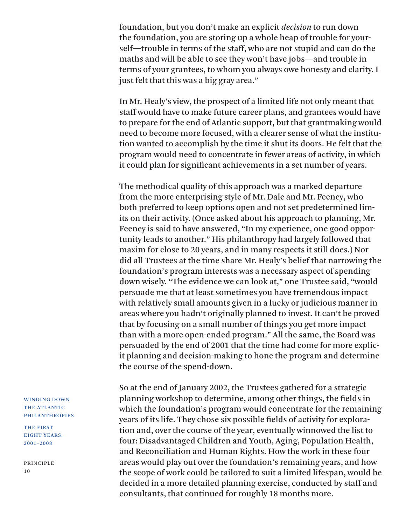foundation, but you don't make an explicit *decision* to run down the foundation, you are storing up a whole heap of trouble for yourself—trouble in terms of the staff, who are not stupid and can do the maths and will be able to see they won't have jobs—and trouble in terms of your grantees, to whom you always owe honesty and clarity. I just felt that this was a big gray area."

In Mr. Healy's view, the prospect of a limited life not only meant that staff would have to make future career plans, and grantees would have to prepare for the end of Atlantic support, but that grantmaking would need to become more focused, with a clearer sense of what the institution wanted to accomplish by the time it shut its doors. He felt that the program would need to concentrate in fewer areas of activity, in which it could plan for significant achievements in a set number of years.

The methodical quality of this approach was a marked departure from the more enterprising style of Mr. Dale and Mr. Feeney, who both preferred to keep options open and not set predetermined limits on their activity. (Once asked about his approach to planning, Mr. Feeney is said to have answered, "In my experience, one good opportunity leads to another." His philanthropy had largely followed that maxim for close to 20 years, and in many respects it still does.) Nor did all Trustees at the time share Mr. Healy's belief that narrowing the foundation's program interests was a necessary aspect of spending down wisely. "The evidence we can look at," one Trustee said, "would persuade me that at least sometimes you have tremendous impact with relatively small amounts given in a lucky or judicious manner in areas where you hadn't originally planned to invest. It can't be proved that by focusing on a small number of things you get more impact than with a more open-ended program." All the same, the Board was persuaded by the end of 2001 that the time had come for more explicit planning and decision-making to hone the program and determine the course of the spend-down.

So at the end of January 2002, the Trustees gathered for a strategic planning workshop to determine, among other things, the fields in which the foundation's program would concentrate for the remaining years of its life. They chose six possible fields of activity for exploration and, over the course of the year, eventually winnowed the list to four: Disadvantaged Children and Youth, Aging, Population Health, and Reconciliation and Human Rights. How the work in these four areas would play out over the foundation's remaining years, and how the scope of work could be tailored to suit a limited lifespan, would be decided in a more detailed planning exercise, conducted by staff and consultants, that continued for roughly 18 months more.

#### WINDING DOWN THE ATLANTIC PHILANTHROPIES

THE FIRST EIGHT YEARS: 2001–2008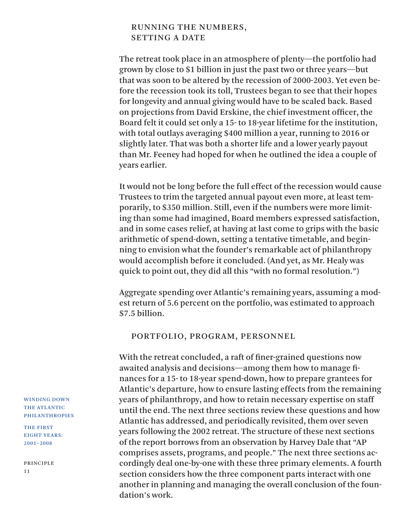## RUNNING THE NUMBERS, SETTING A DATE

The retreat took place in an atmosphere of plenty—the portfolio had grown by close to \$1 billion in just the past two or three years—but that was soon to be altered by the recession of 2000-2003. Yet even before the recession took its toll, Trustees began to see that their hopes for longevity and annual giving would have to be scaled back. Based on projections from David Erskine, the chief investment officer, the Board felt it could set only a 15- to 18-year lifetime for the institution, with total outlays averaging \$400 million a year, running to 2016 or slightly later. That was both a shorter life and a lower yearly payout than Mr. Feeney had hoped for when he outlined the idea a couple of years earlier.

It would not be long before the full effect of the recession would cause Trustees to trim the targeted annual payout even more, at least temporarily, to \$350 million. Still, even if the numbers were more limiting than some had imagined, Board members expressed satisfaction, and in some cases relief, at having at last come to grips with the basic arithmetic of spend-down, setting a tentative timetable, and beginning to envision what the founder's remarkable act of philanthropy would accomplish before it concluded. (And yet, as Mr. Healy was quick to point out, they did all this "with no formal resolution.")

Aggregate spending over Atlantic's remaining years, assuming a modest return of 5.6 percent on the portfolio, was estimated to approach \$7.5 billion.

### PORTFOLIO, PROGRAM, PERSONNEL

With the retreat concluded, a raft of finer-grained questions now awaited analysis and decisions—among them how to manage finances for a 15- to 18-year spend-down, how to prepare grantees for Atlantic's departure, how to ensure lasting effects from the remaining years of philanthropy, and how to retain necessary expertise on staff until the end. The next three sections review these questions and how Atlantic has addressed, and periodically revisited, them over seven years following the 2002 retreat. The structure of these next sections of the report borrows from an observation by Harvey Dale that "AP comprises assets, programs, and people." The next three sections accordingly deal one-by-one with these three primary elements. A fourth section considers how the three component parts interact with one another in planning and managing the overall conclusion of the foundation's work.

WINDING DOWN THE ATLANTIC PHILANTHROPIES

THE FIRST EIGHT YEARS: 2001–2008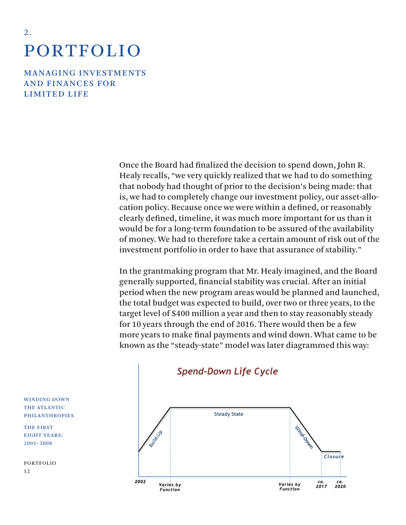# PORTFOLIO

<span id="page-14-0"></span>2 .

MANAGING INVESTMENTS **AND FINANCES FOR** LIMITED LIFE

> Once the Board had finalized the decision to spend down, John R. Healy recalls, "we very quickly realized that we had to do something that nobody had thought of prior to the decision's being made: that is, we had to completely change our investment policy, our asset-allocation policy. Because once we were within a defined, or reasonably clearly defined, timeline, it was much more important for us than it would be for a long-term foundation to be assured of the availability of money. We had to therefore take a certain amount of risk out of the investment portfolio in order to have that assurance of stability."

> In the grantmaking program that Mr. Healy imagined, and the Board generally supported, financial stability was crucial. After an initial period when the new program areas would be planned and launched, the total budget was expected to build, over two or three years, to the target level of \$400 million a year and then to stay reasonably steady for 10 years through the end of 2016. There would then be a few more years to make final payments and wind down. What came to be known as the "steady-state" model was later diagrammed this way:



## *Spend-Down Life Cycle*

WINDING DOWN THE ATLANTIC PHILANTHROPIES

THE FIRST EIGHT YEARS: 2001–2008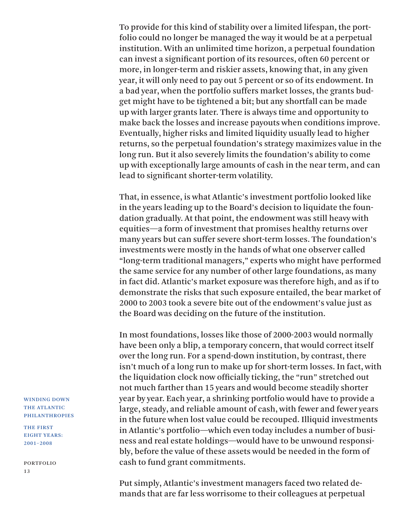To provide for this kind of stability over a limited lifespan, the portfolio could no longer be managed the way it would be at a perpetual institution. With an unlimited time horizon, a perpetual foundation can invest a significant portion of its resources, often 60 percent or more, in longer-term and riskier assets, knowing that, in any given year, it will only need to pay out 5 percent or so of its endowment. In a bad year, when the portfolio suffers market losses, the grants budget might have to be tightened a bit; but any shortfall can be made up with larger grants later. There is always time and opportunity to make back the losses and increase payouts when conditions improve. Eventually, higher risks and limited liquidity usually lead to higher returns, so the perpetual foundation's strategy maximizes value in the long run. But it also severely limits the foundation's ability to come up with exceptionally large amounts of cash in the near term, and can lead to significant shorter-term volatility.

That, in essence, is what Atlantic's investment portfolio looked like in the years leading up to the Board's decision to liquidate the foundation gradually. At that point, the endowment was still heavy with equities—a form of investment that promises healthy returns over many years but can suffer severe short-term losses. The foundation's investments were mostly in the hands of what one observer called "long-term traditional managers," experts who might have performed the same service for any number of other large foundations, as many in fact did. Atlantic's market exposure was therefore high, and as if to demonstrate the risks that such exposure entailed, the bear market of 2000 to 2003 took a severe bite out of the endowment's value just as the Board was deciding on the future of the institution.

In most foundations, losses like those of 2000-2003 would normally have been only a blip, a temporary concern, that would correct itself over the long run. For a spend-down institution, by contrast, there isn't much of a long run to make up for short-term losses. In fact, with the liquidation clock now officially ticking, the "run" stretched out not much farther than 15 years and would become steadily shorter year by year. Each year, a shrinking portfolio would have to provide a large, steady, and reliable amount of cash, with fewer and fewer years in the future when lost value could be recouped. Illiquid investments in Atlantic's portfolio—which even today includes a number of business and real estate holdings—would have to be unwound responsibly, before the value of these assets would be needed in the form of cash to fund grant commitments.

Put simply, Atlantic's investment managers faced two related demands that are far less worrisome to their colleagues at perpetual

WINDING DOWN THE ATLANTIC PHILANTHROPIES

THE FIRST EIGHT YEARS: 2001–2008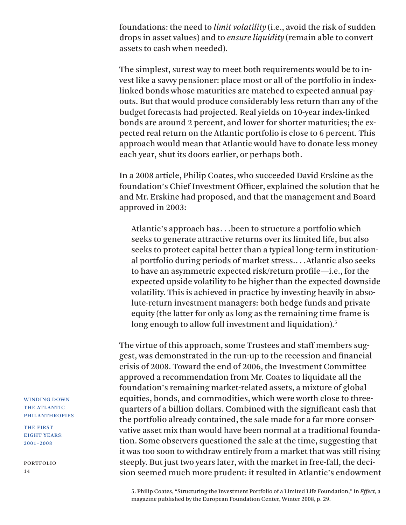foundations: the need to *limit volatility* (i.e., avoid the risk of sudden drops in asset values) and to *ensure liquidity* (remain able to convert assets to cash when needed).

The simplest, surest way to meet both requirements would be to invest like a savvy pensioner: place most or all of the portfolio in indexlinked bonds whose maturities are matched to expected annual payouts. But that would produce considerably less return than any of the budget forecasts had projected. Real yields on 10-year index-linked bonds are around 2 percent, and lower for shorter maturities; the expected real return on the Atlantic portfolio is close to 6 percent. This approach would mean that Atlantic would have to donate less money each year, shut its doors earlier, or perhaps both.

In a 2008 article, Philip Coates, who succeeded David Erskine as the foundation's Chief Investment Officer, explained the solution that he and Mr. Erskine had proposed, and that the management and Board approved in 2003:

Atlantic's approach has. . .been to structure a portfolio which seeks to generate attractive returns over its limited life, but also seeks to protect capital better than a typical long-term institutional portfolio during periods of market stress.. . .Atlantic also seeks to have an asymmetric expected risk/return profile—i.e., for the expected upside volatility to be higher than the expected downside volatility. This is achieved in practice by investing heavily in absolute-return investment managers: both hedge funds and private equity (the latter for only as long as the remaining time frame is long enough to allow full investment and liquidation).<sup>5</sup>

The virtue of this approach, some Trustees and staff members suggest, was demonstrated in the run-up to the recession and financial crisis of 2008. Toward the end of 2006, the Investment Committee approved a recommendation from Mr. Coates to liquidate all the foundation's remaining market-related assets, a mixture of global equities, bonds, and commodities, which were worth close to threequarters of a billion dollars. Combined with the significant cash that the portfolio already contained, the sale made for a far more conservative asset mix than would have been normal at a traditional foundation. Some observers questioned the sale at the time, suggesting that it was too soon to withdraw entirely from a market that was still rising steeply. But just two years later, with the market in free-fall, the decision seemed much more prudent: it resulted in Atlantic's endowment

5. Philip Coates, "Structuring the Investment Portfolio of a Limited Life Foundation," in *Effect,* a magazine published by the European Foundation Center, Winter 2008, p. 29.

WINDING DOWN THE ATLANTIC PHILANTHROPIES

THE FIRST EIGHT YEARS: 2001–2008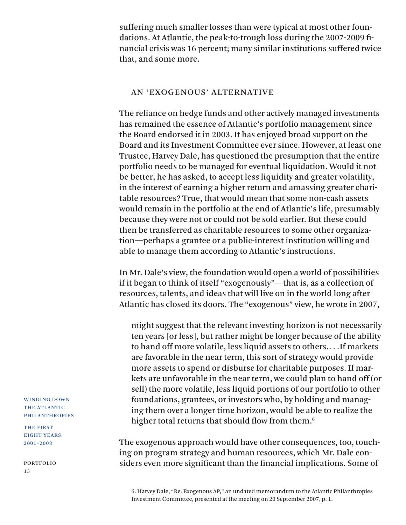suffering much smaller losses than were typical at most other foundations. At Atlantic, the peak-to-trough loss during the 2007-2009 financial crisis was 16 percent; many similar institutions suffered twice that, and some more.

## AN 'EXOGENOUS' ALTERNATIVE

The reliance on hedge funds and other actively managed investments has remained the essence of Atlantic's portfolio management since the Board endorsed it in 2003. It has enjoyed broad support on the Board and its Investment Committee ever since. However, at least one Trustee, Harvey Dale, has questioned the presumption that the entire portfolio needs to be managed for eventual liquidation. Would it not be better, he has asked, to accept less liquidity and greater volatility, in the interest of earning a higher return and amassing greater charitable resources? True, that would mean that some non-cash assets would remain in the portfolio at the end of Atlantic's life, presumably because they were not or could not be sold earlier. But these could then be transferred as charitable resources to some other organization—perhaps a grantee or a public-interest institution willing and able to manage them according to Atlantic's instructions.

In Mr. Dale's view, the foundation would open a world of possibilities if it began to think of itself "exogenously"—that is, as a collection of resources, talents, and ideas that will live on in the world long after Atlantic has closed its doors. The "exogenous" view, he wrote in 2007,

might suggest that the relevant investing horizon is not necessarily ten years [or less], but rather might be longer because of the ability to hand off more volatile, less liquid assets to others.. . .If markets are favorable in the near term, this sort of strategy would provide more assets to spend or disburse for charitable purposes. If markets are unfavorable in the near term, we could plan to hand off (or sell) the more volatile, less liquid portions of our portfolio to other foundations, grantees, or investors who, by holding and managing them over a longer time horizon, would be able to realize the higher total returns that should flow from them.<sup>6</sup>

The exogenous approach would have other consequences, too, touching on program strategy and human resources, which Mr. Dale considers even more significant than the financial implications. Some of

6. Harvey Dale, "Re: Exogenous AP," an undated memorandum to the Atlantic Philanthropies Investment Committee, presented at the meeting on 20 September 2007, p. 1.

WINDING DOWN THE ATLANTIC PHILANTHROPIES

THE FIRST EIGHT YEARS: 2001–2008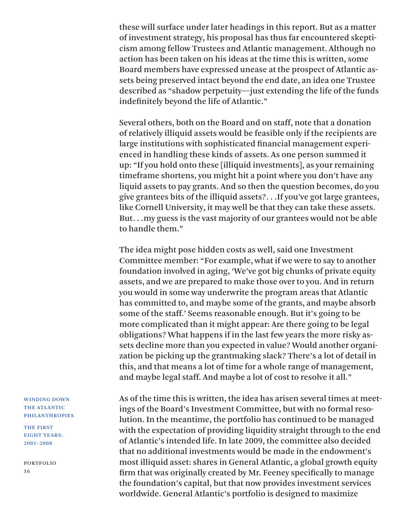these will surface under later headings in this report. But as a matter of investment strategy, his proposal has thus far encountered skepticism among fellow Trustees and Atlantic management. Although no action has been taken on his ideas at the time this is written, some Board members have expressed unease at the prospect of Atlantic assets being preserved intact beyond the end date, an idea one Trustee described as "shadow perpetuity—just extending the life of the funds indefinitely beyond the life of Atlantic."

Several others, both on the Board and on staff, note that a donation of relatively illiquid assets would be feasible only if the recipients are large institutions with sophisticated financial management experienced in handling these kinds of assets. As one person summed it up: "If you hold onto these [illiquid investments], as your remaining timeframe shortens, you might hit a point where you don't have any liquid assets to pay grants. And so then the question becomes, do you give grantees bits of the illiquid assets?. . .If you've got large grantees, like Cornell University, it may well be that they can take these assets. But. . .my guess is the vast majority of our grantees would not be able to handle them."

The idea might pose hidden costs as well, said one Investment Committee member: "For example, what if we were to say to another foundation involved in aging, 'We've got big chunks of private equity assets, and we are prepared to make those over to you. And in return you would in some way underwrite the program areas that Atlantic has committed to, and maybe some of the grants, and maybe absorb some of the staff.' Seems reasonable enough. But it's going to be more complicated than it might appear: Are there going to be legal obligations? What happens if in the last few years the more risky assets decline more than you expected in value? Would another organization be picking up the grantmaking slack? There's a lot of detail in this, and that means a lot of time for a whole range of management, and maybe legal staff. And maybe a lot of cost to resolve it all."

As of the time this is written, the idea has arisen several times at meetings of the Board's Investment Committee, but with no formal resolution. In the meantime, the portfolio has continued to be managed with the expectation of providing liquidity straight through to the end of Atlantic's intended life. In late 2009, the committee also decided that no additional investments would be made in the endowment's most illiquid asset: shares in General Atlantic, a global growth equity firm that was originally created by Mr. Feeney specifically to manage the foundation's capital, but that now provides investment services worldwide. General Atlantic's portfolio is designed to maximize

#### WINDING DOWN THE ATLANTIC PHILANTHROPIES

THE FIRST EIGHT YEARS: 2001–2008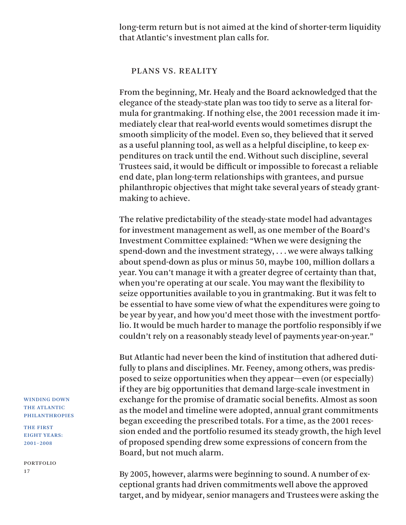long-term return but is not aimed at the kind of shorter-term liquidity that Atlantic's investment plan calls for.

### PLANS VS. REALITY

From the beginning, Mr. Healy and the Board acknowledged that the elegance of the steady-state plan was too tidy to serve as a literal formula for grantmaking. If nothing else, the 2001 recession made it immediately clear that real-world events would sometimes disrupt the smooth simplicity of the model. Even so, they believed that it served as a useful planning tool, as well as a helpful discipline, to keep expenditures on track until the end. Without such discipline, several Trustees said, it would be difficult or impossible to forecast a reliable end date, plan long-term relationships with grantees, and pursue philanthropic objectives that might take several years of steady grantmaking to achieve.

The relative predictability of the steady-state model had advantages for investment management as well, as one member of the Board's Investment Committee explained: "When we were designing the spend-down and the investment strategy, . . . we were always talking about spend-down as plus or minus 50, maybe 100, million dollars a year. You can't manage it with a greater degree of certainty than that, when you're operating at our scale. You may want the flexibility to seize opportunities available to you in grantmaking. But it was felt to be essential to have some view of what the expenditures were going to be year by year, and how you'd meet those with the investment portfolio. It would be much harder to manage the portfolio responsibly if we couldn't rely on a reasonably steady level of payments year-on-year."

But Atlantic had never been the kind of institution that adhered dutifully to plans and disciplines. Mr. Feeney, among others, was predisposed to seize opportunities when they appear—even (or especially) if they are big opportunities that demand large-scale investment in exchange for the promise of dramatic social benefits. Almost as soon as the model and timeline were adopted, annual grant commitments began exceeding the prescribed totals. For a time, as the 2001 recession ended and the portfolio resumed its steady growth, the high level of proposed spending drew some expressions of concern from the Board, but not much alarm.

By 2005, however, alarms were beginning to sound. A number of exceptional grants had driven commitments well above the approved target, and by midyear, senior managers and Trustees were asking the

WINDING DOWN THE ATLANTIC PHILANTHROPIES

THE FIRST EIGHT YEARS: 2001–2008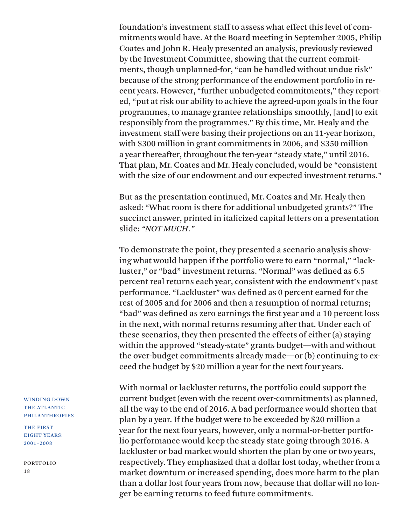foundation's investment staff to assess what effect this level of commitments would have. At the Board meeting in September 2005, Philip Coates and John R. Healy presented an analysis, previously reviewed by the Investment Committee, showing that the current commitments, though unplanned-for, "can be handled without undue risk" because of the strong performance of the endowment portfolio in recent years. However, "further unbudgeted commitments," they reported, "put at risk our ability to achieve the agreed-upon goals in the four programmes, to manage grantee relationships smoothly, [and] to exit responsibly from the programmes." By this time, Mr. Healy and the investment staff were basing their projections on an 11-year horizon, with \$300 million in grant commitments in 2006, and \$350 million a year thereafter, throughout the ten-year "steady state," until 2016. That plan, Mr. Coates and Mr. Healy concluded, would be "consistent with the size of our endowment and our expected investment returns."

But as the presentation continued, Mr. Coates and Mr. Healy then asked: "What room is there for additional unbudgeted grants?" The succinct answer, printed in italicized capital letters on a presentation slide: *"NOT MUCH."*

To demonstrate the point, they presented a scenario analysis showing what would happen if the portfolio were to earn "normal," "lackluster," or "bad" investment returns. "Normal" was defined as 6.5 percent real returns each year, consistent with the endowment's past performance. "Lackluster" was defined as 0 percent earned for the rest of 2005 and for 2006 and then a resumption of normal returns; "bad" was defined as zero earnings the first year and a 10 percent loss in the next, with normal returns resuming after that. Under each of these scenarios, they then presented the effects of either (a) staying within the approved "steady-state" grants budget—with and without the over-budget commitments already made—or (b) continuing to exceed the budget by \$20 million a year for the next four years.

With normal or lackluster returns, the portfolio could support the current budget (even with the recent over-commitments) as planned, all the way to the end of 2016. A bad performance would shorten that plan by a year. If the budget were to be exceeded by \$20 million a year for the next four years, however, only a normal-or-better portfolio performance would keep the steady state going through 2016. A lackluster or bad market would shorten the plan by one or two years, respectively. They emphasized that a dollar lost today, whether from a market downturn or increased spending, does more harm to the plan than a dollar lost four years from now, because that dollar will no longer be earning returns to feed future commitments.

WINDING DOWN THE ATLANTIC PHILANTHROPIES

THE FIRST EIGHT YEARS: 2001–2008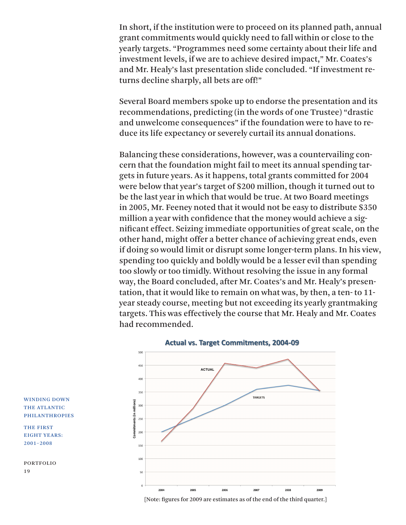In short, if the institution were to proceed on its planned path, annual grant commitments would quickly need to fall within or close to the yearly targets. "Programmes need some certainty about their life and investment levels, if we are to achieve desired impact," Mr. Coates's and Mr. Healy's last presentation slide concluded. "If investment returns decline sharply, all bets are off!"

Several Board members spoke up to endorse the presentation and its recommendations, predicting (in the words of one Trustee) "drastic and unwelcome consequences" if the foundation were to have to reduce its life expectancy or severely curtail its annual donations.

Balancing these considerations, however, was a countervailing concern that the foundation might fail to meet its annual spending targets in future years. As it happens, total grants committed for 2004 were below that year's target of \$200 million, though it turned out to be the last year in which that would be true. At two Board meetings in 2005, Mr. Feeney noted that it would not be easy to distribute \$350 million a year with confidence that the money would achieve a significant effect. Seizing immediate opportunities of great scale, on the other hand, might offer a better chance of achieving great ends, even if doing so would limit or disrupt some longer-term plans. In his view, spending too quickly and boldly would be a lesser evil than spending too slowly or too timidly. Without resolving the issue in any formal way, the Board concluded, after Mr. Coates's and Mr. Healy's presentation, that it would like to remain on what was, by then, a ten- to 11 year steady course, meeting but not exceeding its yearly grantmaking targets. This was effectively the course that Mr. Healy and Mr. Coates had recommended.



#### WINDING DOWN THE ATLANTIC PHILANTHROPIES

THE FIRST EIGHT YEARS: 2001–2008

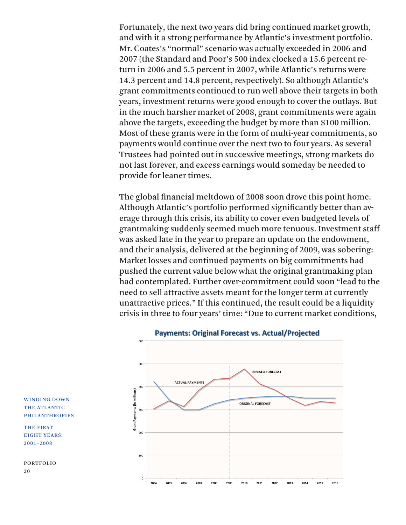Fortunately, the next two years did bring continued market growth, and with it a strong performance by Atlantic's investment portfolio. Mr. Coates's "normal" scenario was actually exceeded in 2006 and 2007 (the Standard and Poor's 500 index clocked a 15.6 percent return in 2006 and 5.5 percent in 2007, while Atlantic's returns were 14.3 percent and 14.8 percent, respectively). So although Atlantic's grant commitments continued to run well above their targets in both years, investment returns were good enough to cover the outlays. But in the much harsher market of 2008, grant commitments were again above the targets, exceeding the budget by more than \$100 million. Most of these grants were in the form of multi-year commitments, so payments would continue over the next two to four years. As several Trustees had pointed out in successive meetings, strong markets do not last forever, and excess earnings would someday be needed to provide for leaner times.

The global financial meltdown of 2008 soon drove this point home. Although Atlantic's portfolio performed significantly better than average through this crisis, its ability to cover even budgeted levels of grantmaking suddenly seemed much more tenuous. Investment staff was asked late in the year to prepare an update on the endowment, and their analysis, delivered at the beginning of 2009, was sobering: Market losses and continued payments on big commitments had pushed the current value below what the original grantmaking plan had contemplated. Further over-commitment could soon "lead to the need to sell attractive assets meant for the longer term at currently unattractive prices." If this continued, the result could be a liquidity crisis in three to four years' time: "Due to current market conditions,



**Payments: Original Forecast vs. Actual/Projected** 

WINDING DOWN THE ATLANTIC PHILANTHROPIES

THE FIRST EIGHT YEARS: 2001–2008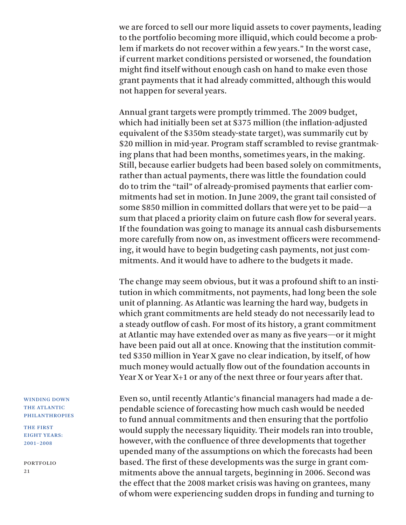we are forced to sell our more liquid assets to cover payments, leading to the portfolio becoming more illiquid, which could become a problem if markets do not recover within a few years." In the worst case, if current market conditions persisted or worsened, the foundation might find itself without enough cash on hand to make even those grant payments that it had already committed, although this would not happen for several years.

Annual grant targets were promptly trimmed. The 2009 budget, which had initially been set at \$375 million (the inflation-adjusted equivalent of the \$350m steady-state target), was summarily cut by \$20 million in mid-year. Program staff scrambled to revise grantmaking plans that had been months, sometimes years, in the making. Still, because earlier budgets had been based solely on commitments, rather than actual payments, there was little the foundation could do to trim the "tail" of already-promised payments that earlier commitments had set in motion. In June 2009, the grant tail consisted of some \$850 million in committed dollars that were yet to be paid—a sum that placed a priority claim on future cash flow for several years. If the foundation was going to manage its annual cash disbursements more carefully from now on, as investment officers were recommending, it would have to begin budgeting cash payments, not just commitments. And it would have to adhere to the budgets it made.

The change may seem obvious, but it was a profound shift to an institution in which commitments, not payments, had long been the sole unit of planning. As Atlantic was learning the hard way, budgets in which grant commitments are held steady do not necessarily lead to a steady outflow of cash. For most of its history, a grant commitment at Atlantic may have extended over as many as five years—or it might have been paid out all at once. Knowing that the institution committed \$350 million in Year X gave no clear indication, by itself, of how much money would actually flow out of the foundation accounts in Year X or Year X+1 or any of the next three or four years after that.

Even so, until recently Atlantic's financial managers had made a dependable science of forecasting how much cash would be needed to fund annual commitments and then ensuring that the portfolio would supply the necessary liquidity. Their models ran into trouble, however, with the confluence of three developments that together upended many of the assumptions on which the forecasts had been based. The first of these developments was the surge in grant commitments above the annual targets, beginning in 2006. Second was the effect that the 2008 market crisis was having on grantees, many of whom were experiencing sudden drops in funding and turning to

WINDING DOWN THE ATLANTIC PHILANTHROPIES

THE FIRST EIGHT YEARS: 2001–2008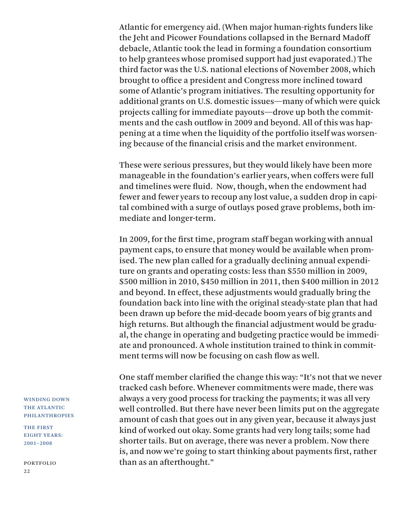Atlantic for emergency aid. (When major human-rights funders like the Jeht and Picower Foundations collapsed in the Bernard Madoff debacle, Atlantic took the lead in forming a foundation consortium to help grantees whose promised support had just evaporated.) The third factor was the U.S. national elections of November 2008, which brought to office a president and Congress more inclined toward some of Atlantic's program initiatives. The resulting opportunity for additional grants on U.S. domestic issues—many of which were quick projects calling for immediate payouts—drove up both the commitments and the cash outflow in 2009 and beyond. All of this was happening at a time when the liquidity of the portfolio itself was worsening because of the financial crisis and the market environment.

These were serious pressures, but they would likely have been more manageable in the foundation's earlier years, when coffers were full and timelines were fluid. Now, though, when the endowment had fewer and fewer years to recoup any lost value, a sudden drop in capital combined with a surge of outlays posed grave problems, both immediate and longer-term.

In 2009, for the first time, program staff began working with annual payment caps, to ensure that money would be available when promised. The new plan called for a gradually declining annual expenditure on grants and operating costs: less than \$550 million in 2009, \$500 million in 2010, \$450 million in 2011, then \$400 million in 2012 and beyond. In effect, these adjustments would gradually bring the foundation back into line with the original steady-state plan that had been drawn up before the mid-decade boom years of big grants and high returns. But although the financial adjustment would be gradual, the change in operating and budgeting practice would be immediate and pronounced. A whole institution trained to think in commitment terms will now be focusing on cash flow as well.

One staff member clarified the change this way: "It's not that we never tracked cash before. Whenever commitments were made, there was always a very good process for tracking the payments; it was all very well controlled. But there have never been limits put on the aggregate amount of cash that goes out in any given year, because it always just kind of worked out okay. Some grants had very long tails; some had shorter tails. But on average, there was never a problem. Now there is, and now we're going to start thinking about payments first, rather than as an afterthought."

WINDING DOWN THE ATLANTIC PHILANTHROPIES

THE FIRST EIGHT YEARS: 2001–2008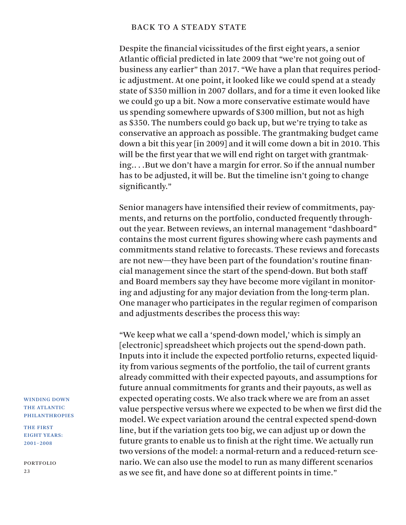### BACK TO A STEADY STATE

Despite the financial vicissitudes of the first eight years, a senior Atlantic official predicted in late 2009 that "we're not going out of business any earlier" than 2017. "We have a plan that requires periodic adjustment. At one point, it looked like we could spend at a steady state of \$350 million in 2007 dollars, and for a time it even looked like we could go up a bit. Now a more conservative estimate would have us spending somewhere upwards of \$300 million, but not as high as \$350. The numbers could go back up, but we're trying to take as conservative an approach as possible. The grantmaking budget came down a bit this year [in 2009] and it will come down a bit in 2010. This will be the first year that we will end right on target with grantmaking.. . .But we don't have a margin for error. So if the annual number has to be adjusted, it will be. But the timeline isn't going to change significantly."

Senior managers have intensified their review of commitments, payments, and returns on the portfolio, conducted frequently throughout the year. Between reviews, an internal management "dashboard" contains the most current figures showing where cash payments and commitments stand relative to forecasts. These reviews and forecasts are not new—they have been part of the foundation's routine financial management since the start of the spend-down. But both staff and Board members say they have become more vigilant in monitoring and adjusting for any major deviation from the long-term plan. One manager who participates in the regular regimen of comparison and adjustments describes the process this way:

"We keep what we call a 'spend-down model,' which is simply an [electronic] spreadsheet which projects out the spend-down path. Inputs into it include the expected portfolio returns, expected liquidity from various segments of the portfolio, the tail of current grants already committed with their expected payouts, and assumptions for future annual commitments for grants and their payouts, as well as expected operating costs. We also track where we are from an asset value perspective versus where we expected to be when we first did the model. We expect variation around the central expected spend-down line, but if the variation gets too big, we can adjust up or down the future grants to enable us to finish at the right time. We actually run two versions of the model: a normal-return and a reduced-return scenario. We can also use the model to run as many different scenarios as we see fit, and have done so at different points in time."

WINDING DOWN THE ATLANTIC PHILANTHROPIES

THE FIRST EIGHT YEARS: 2001–2008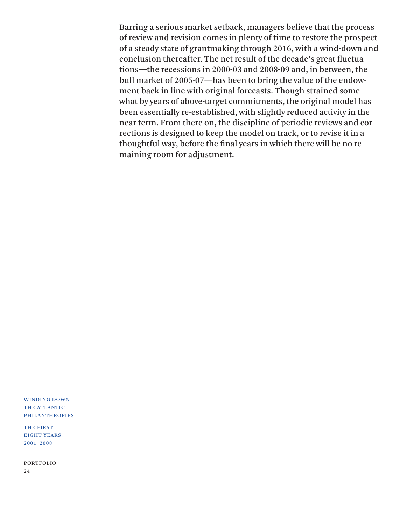Barring a serious market setback, managers believe that the process of review and revision comes in plenty of time to restore the prospect of a steady state of grantmaking through 2016, with a wind-down and conclusion thereafter. The net result of the decade's great fluctuations—the recessions in 2000-03 and 2008-09 and, in between, the bull market of 2005-07—has been to bring the value of the endowment back in line with original forecasts. Though strained somewhat by years of above-target commitments, the original model has been essentially re-established, with slightly reduced activity in the near term. From there on, the discipline of periodic reviews and corrections is designed to keep the model on track, or to revise it in a thoughtful way, before the final years in which there will be no remaining room for adjustment.

WINDING DOWN THE ATLANTIC PHILANTHROPIES

THE FIRST EIGHT YEARS: 2001–2008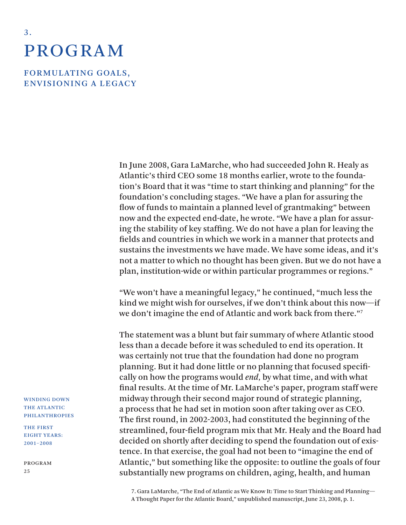## **PROGRAM**

<span id="page-27-0"></span>3 .

FORMULATING GOALS, ENVISIONING A LEGACY

> In June 2008, Gara LaMarche, who had succeeded John R. Healy as Atlantic's third CEO some 18 months earlier, wrote to the foundation's Board that it was "time to start thinking and planning" for the foundation's concluding stages. "We have a plan for assuring the flow of funds to maintain a planned level of grantmaking" between now and the expected end-date, he wrote. "We have a plan for assuring the stability of key staffing. We do not have a plan for leaving the fields and countries in which we work in a manner that protects and sustains the investments we have made. We have some ideas, and it's not a matter to which no thought has been given. But we do not have a plan, institution-wide or within particular programmes or regions."

> "We won't have a meaningful legacy," he continued, "much less the kind we might wish for ourselves, if we don't think about this now—if we don't imagine the end of Atlantic and work back from there."7

> The statement was a blunt but fair summary of where Atlantic stood less than a decade before it was scheduled to end its operation. It was certainly not true that the foundation had done no program planning. But it had done little or no planning that focused specifically on how the programs would *end,* by what time, and with what final results. At the time of Mr. LaMarche's paper, program staff were midway through their second major round of strategic planning, a process that he had set in motion soon after taking over as CEO. The first round, in 2002-2003, had constituted the beginning of the streamlined, four-field program mix that Mr. Healy and the Board had decided on shortly after deciding to spend the foundation out of existence. In that exercise, the goal had not been to "imagine the end of Atlantic," but something like the opposite: to outline the goals of four substantially new programs on children, aging, health, and human

7. Gara LaMarche, "The End of Atlantic as We Know It: Time to Start Thinking and Planning— A Thought Paper for the Atlantic Board," unpublished manuscript, June 23, 2008, p. 1.

WINDING DOWN THE ATLANTIC PHILANTHROPIES

THE FIRST EIGHT YEARS: 2001–2008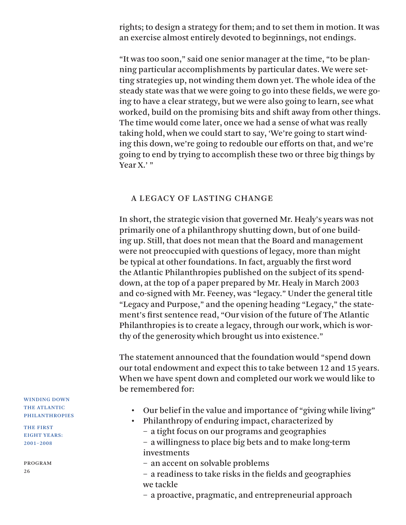rights; to design a strategy for them; and to set them in motion. It was an exercise almost entirely devoted to beginnings, not endings.

"It was too soon," said one senior manager at the time, "to be planning particular accomplishments by particular dates. We were setting strategies up, not winding them down yet. The whole idea of the steady state was that we were going to go into these fields, we were going to have a clear strategy, but we were also going to learn, see what worked, build on the promising bits and shift away from other things. The time would come later, once we had a sense of what was really taking hold, when we could start to say, 'We're going to start winding this down, we're going to redouble our efforts on that, and we're going to end by trying to accomplish these two or three big things by Year X.' "

### A LEGACY OF LASTING CHANGE

In short, the strategic vision that governed Mr. Healy's years was not primarily one of a philanthropy shutting down, but of one building up. Still, that does not mean that the Board and management were not preoccupied with questions of legacy, more than might be typical at other foundations. In fact, arguably the first word the Atlantic Philanthropies published on the subject of its spenddown, at the top of a paper prepared by Mr. Healy in March 2003 and co-signed with Mr. Feeney, was "legacy." Under the general title "Legacy and Purpose," and the opening heading "Legacy," the statement's first sentence read, "Our vision of the future of The Atlantic Philanthropies is to create a legacy, through our work, which is worthy of the generosity which brought us into existence."

The statement announced that the foundation would "spend down our total endowment and expect this to take between 12 and 15 years. When we have spent down and completed our work we would like to be remembered for:

- Our belief in the value and importance of "giving while living"
- Philanthropy of enduring impact, characterized by
	- a tight focus on our programs and geographies
	- a willingness to place big bets and to make long-term investments
	- an accent on solvable problems
	- a readiness to take risks in the fields and geographies we tackle
	- a proactive, pragmatic, and entrepreneurial approach

WINDING DOWN THE ATLANTIC PHILANTHROPIES

THE FIRST EIGHT YEARS: 2001–2008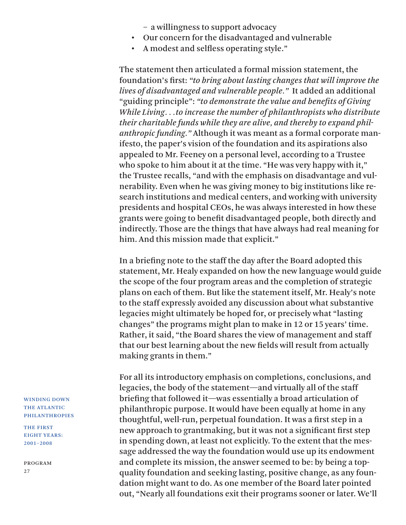– a willingness to support advocacy

- Our concern for the disadvantaged and vulnerable
- A modest and selfless operating style."

The statement then articulated a formal mission statement, the foundation's first: *"to bring about lasting changes that will improve the lives of disadvantaged and vulnerable people."* It added an additional "guiding principle": *"to demonstrate the value and benefits of Giving While Living. . .to increase the number of philanthropists who distribute their charitable funds while they are alive, and thereby to expand philanthropic funding."* Although it was meant as a formal corporate manifesto, the paper's vision of the foundation and its aspirations also appealed to Mr. Feeney on a personal level, according to a Trustee who spoke to him about it at the time. "He was very happy with it," the Trustee recalls, "and with the emphasis on disadvantage and vulnerability. Even when he was giving money to big institutions like research institutions and medical centers, and working with university presidents and hospital CEOs, he was always interested in how these grants were going to benefit disadvantaged people, both directly and indirectly. Those are the things that have always had real meaning for him. And this mission made that explicit."

In a briefing note to the staff the day after the Board adopted this statement, Mr. Healy expanded on how the new language would guide the scope of the four program areas and the completion of strategic plans on each of them. But like the statement itself, Mr. Healy's note to the staff expressly avoided any discussion about what substantive legacies might ultimately be hoped for, or precisely what "lasting changes" the programs might plan to make in 12 or 15 years' time. Rather, it said, "the Board shares the view of management and staff that our best learning about the new fields will result from actually making grants in them."

For all its introductory emphasis on completions, conclusions, and legacies, the body of the statement—and virtually all of the staff briefing that followed it—was essentially a broad articulation of philanthropic purpose. It would have been equally at home in any thoughtful, well-run, perpetual foundation. It was a first step in a new approach to grantmaking, but it was not a significant first step in spending down, at least not explicitly. To the extent that the message addressed the way the foundation would use up its endowment and complete its mission, the answer seemed to be: by being a topquality foundation and seeking lasting, positive change, as any foundation might want to do. As one member of the Board later pointed out, "Nearly all foundations exit their programs sooner or later. We'll

WINDING DOWN THE ATLANTIC PHILANTHROPIES

THE FIRST EIGHT YEARS: 2001–2008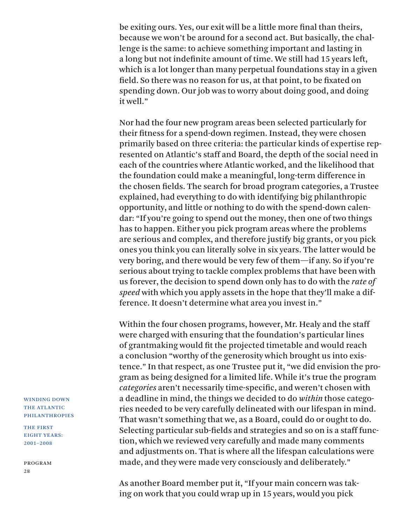be exiting ours. Yes, our exit will be a little more final than theirs, because we won't be around for a second act. But basically, the challenge is the same: to achieve something important and lasting in a long but not indefinite amount of time. We still had 15 years left, which is a lot longer than many perpetual foundations stay in a given field. So there was no reason for us, at that point, to be fixated on spending down. Our job was to worry about doing good, and doing it well."

Nor had the four new program areas been selected particularly for their fitness for a spend-down regimen. Instead, they were chosen primarily based on three criteria: the particular kinds of expertise represented on Atlantic's staff and Board, the depth of the social need in each of the countries where Atlantic worked, and the likelihood that the foundation could make a meaningful, long-term difference in the chosen fields. The search for broad program categories, a Trustee explained, had everything to do with identifying big philanthropic opportunity, and little or nothing to do with the spend-down calendar: "If you're going to spend out the money, then one of two things has to happen. Either you pick program areas where the problems are serious and complex, and therefore justify big grants, or you pick ones you think you can literally solve in six years. The latter would be very boring, and there would be very few of them—if any. So if you're serious about trying to tackle complex problems that have been with us forever, the decision to spend down only has to do with the *rate of speed* with which you apply assets in the hope that they'll make a difference. It doesn't determine what area you invest in."

Within the four chosen programs, however, Mr. Healy and the staff were charged with ensuring that the foundation's particular lines of grantmaking would fit the projected timetable and would reach a conclusion "worthy of the generosity which brought us into existence." In that respect, as one Trustee put it, "we did envision the program as being designed for a limited life. While it's true the program *categories* aren't necessarily time-specific, and weren't chosen with a deadline in mind, the things we decided to do *within* those categories needed to be very carefully delineated with our lifespan in mind. That wasn't something that we, as a Board, could do or ought to do. Selecting particular sub-fields and strategies and so on is a staff function, which we reviewed very carefully and made many comments and adjustments on. That is where all the lifespan calculations were made, and they were made very consciously and deliberately."

As another Board member put it, "If your main concern was taking on work that you could wrap up in 15 years, would you pick

WINDING DOWN THE ATLANTIC PHILANTHROPIES

THE FIRST EIGHT YEARS: 2001–2008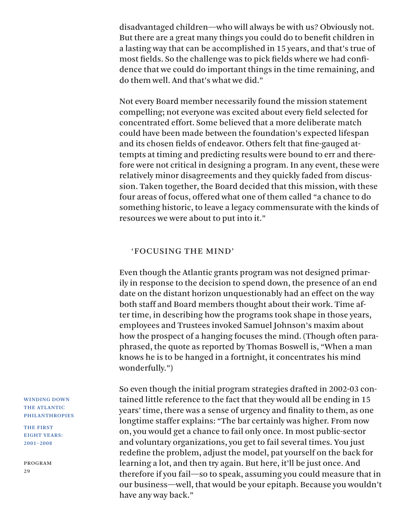disadvantaged children—who will always be with us? Obviously not. But there are a great many things you could do to benefit children in a lasting way that can be accomplished in 15 years, and that's true of most fields. So the challenge was to pick fields where we had confidence that we could do important things in the time remaining, and do them well. And that's what we did."

Not every Board member necessarily found the mission statement compelling; not everyone was excited about every field selected for concentrated effort. Some believed that a more deliberate match could have been made between the foundation's expected lifespan and its chosen fields of endeavor. Others felt that fine-gauged attempts at timing and predicting results were bound to err and therefore were not critical in designing a program. In any event, these were relatively minor disagreements and they quickly faded from discussion. Taken together, the Board decided that this mission, with these four areas of focus, offered what one of them called "a chance to do something historic, to leave a legacy commensurate with the kinds of resources we were about to put into it."

### 'FOCUSING THE MIND'

Even though the Atlantic grants program was not designed primarily in response to the decision to spend down, the presence of an end date on the distant horizon unquestionably had an effect on the way both staff and Board members thought about their work. Time after time, in describing how the programs took shape in those years, employees and Trustees invoked Samuel Johnson's maxim about how the prospect of a hanging focuses the mind. (Though often paraphrased, the quote as reported by Thomas Boswell is, "When a man knows he is to be hanged in a fortnight, it concentrates his mind wonderfully.")

So even though the initial program strategies drafted in 2002-03 contained little reference to the fact that they would all be ending in 15 years' time, there was a sense of urgency and finality to them, as one longtime staffer explains: "The bar certainly was higher. From now on, you would get a chance to fail only once. In most public-sector and voluntary organizations, you get to fail several times. You just redefine the problem, adjust the model, pat yourself on the back for learning a lot, and then try again. But here, it'll be just once. And therefore if you fail—so to speak, assuming you could measure that in our business—well, that would be your epitaph. Because you wouldn't have any way back."

WINDING DOWN THE ATLANTIC PHILANTHROPIES

THE FIRST EIGHT YEARS: 2001–2008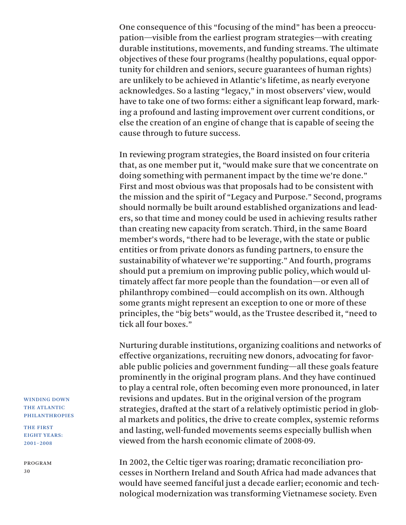One consequence of this "focusing of the mind" has been a preoccupation—visible from the earliest program strategies—with creating durable institutions, movements, and funding streams. The ultimate objectives of these four programs (healthy populations, equal opportunity for children and seniors, secure guarantees of human rights) are unlikely to be achieved in Atlantic's lifetime, as nearly everyone acknowledges. So a lasting "legacy," in most observers' view, would have to take one of two forms: either a significant leap forward, marking a profound and lasting improvement over current conditions, or else the creation of an engine of change that is capable of seeing the cause through to future success.

In reviewing program strategies, the Board insisted on four criteria that, as one member put it, "would make sure that we concentrate on doing something with permanent impact by the time we're done." First and most obvious was that proposals had to be consistent with the mission and the spirit of "Legacy and Purpose." Second, programs should normally be built around established organizations and leaders, so that time and money could be used in achieving results rather than creating new capacity from scratch. Third, in the same Board member's words, "there had to be leverage, with the state or public entities or from private donors as funding partners, to ensure the sustainability of whatever we're supporting." And fourth, programs should put a premium on improving public policy, which would ultimately affect far more people than the foundation—or even all of philanthropy combined—could accomplish on its own. Although some grants might represent an exception to one or more of these principles, the "big bets" would, as the Trustee described it, "need to tick all four boxes."

Nurturing durable institutions, organizing coalitions and networks of effective organizations, recruiting new donors, advocating for favorable public policies and government funding—all these goals feature prominently in the original program plans. And they have continued to play a central role, often becoming even more pronounced, in later revisions and updates. But in the original version of the program strategies, drafted at the start of a relatively optimistic period in global markets and politics, the drive to create complex, systemic reforms and lasting, well-funded movements seems especially bullish when viewed from the harsh economic climate of 2008-09.

In 2002, the Celtic tiger was roaring; dramatic reconciliation processes in Northern Ireland and South Africa had made advances that would have seemed fanciful just a decade earlier; economic and technological modernization was transforming Vietnamese society. Even

WINDING DOWN THE ATLANTIC PHILANTHROPIES

THE FIRST EIGHT YEARS: 2001–2008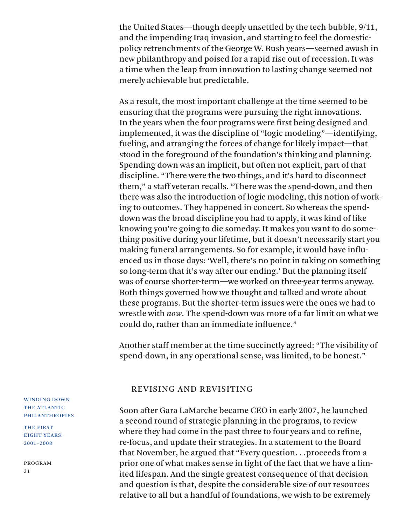the United States—though deeply unsettled by the tech bubble, 9/11, and the impending Iraq invasion, and starting to feel the domesticpolicy retrenchments of the George W. Bush years—seemed awash in new philanthropy and poised for a rapid rise out of recession. It was a time when the leap from innovation to lasting change seemed not merely achievable but predictable.

As a result, the most important challenge at the time seemed to be ensuring that the programs were pursuing the right innovations. In the years when the four programs were first being designed and implemented, it was the discipline of "logic modeling"—identifying, fueling, and arranging the forces of change for likely impact—that stood in the foreground of the foundation's thinking and planning. Spending down was an implicit, but often not explicit, part of that discipline. "There were the two things, and it's hard to disconnect them," a staff veteran recalls. "There was the spend-down, and then there was also the introduction of logic modeling, this notion of working to outcomes. They happened in concert. So whereas the spenddown was the broad discipline you had to apply, it was kind of like knowing you're going to die someday. It makes you want to do something positive during your lifetime, but it doesn't necessarily start you making funeral arrangements. So for example, it would have influenced us in those days: 'Well, there's no point in taking on something so long-term that it's way after our ending.' But the planning itself was of course shorter-term—we worked on three-year terms anyway. Both things governed how we thought and talked and wrote about these programs. But the shorter-term issues were the ones we had to wrestle with *now*. The spend-down was more of a far limit on what we could do, rather than an immediate influence."

Another staff member at the time succinctly agreed: "The visibility of spend-down, in any operational sense, was limited, to be honest."

#### REVISING AND REVISITING

Soon after Gara LaMarche became CEO in early 2007, he launched a second round of strategic planning in the programs, to review where they had come in the past three to four years and to refine, re-focus, and update their strategies. In a statement to the Board that November, he argued that "Every question. . .proceeds from a prior one of what makes sense in light of the fact that we have a limited lifespan. And the single greatest consequence of that decision and question is that, despite the considerable size of our resources relative to all but a handful of foundations, we wish to be extremely

WINDING DOWN THE ATLANTIC PHILANTHROPIES

THE FIRST EIGHT YEARS: 2001–2008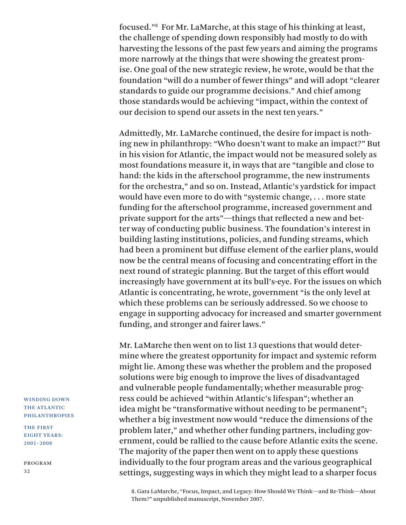focused."8 For Mr. LaMarche, at this stage of his thinking at least, the challenge of spending down responsibly had mostly to do with harvesting the lessons of the past few years and aiming the programs more narrowly at the things that were showing the greatest promise. One goal of the new strategic review, he wrote, would be that the foundation "will do a number of fewer things" and will adopt "clearer standards to guide our programme decisions." And chief among those standards would be achieving "impact, within the context of our decision to spend our assets in the next ten years."

Admittedly, Mr. LaMarche continued, the desire for impact is nothing new in philanthropy: "Who doesn't want to make an impact?" But in his vision for Atlantic, the impact would not be measured solely as most foundations measure it, in ways that are "tangible and close to hand: the kids in the afterschool programme, the new instruments for the orchestra," and so on. Instead, Atlantic's yardstick for impact would have even more to do with "systemic change, . . . more state funding for the afterschool programme, increased government and private support for the arts"—things that reflected a new and better way of conducting public business. The foundation's interest in building lasting institutions, policies, and funding streams, which had been a prominent but diffuse element of the earlier plans, would now be the central means of focusing and concentrating effort in the next round of strategic planning. But the target of this effort would increasingly have government at its bull's-eye. For the issues on which Atlantic is concentrating, he wrote, government "is the only level at which these problems can be seriously addressed. So we choose to engage in supporting advocacy for increased and smarter government funding, and stronger and fairer laws."

Mr. LaMarche then went on to list 13 questions that would determine where the greatest opportunity for impact and systemic reform might lie. Among these was whether the problem and the proposed solutions were big enough to improve the lives of disadvantaged and vulnerable people fundamentally; whether measurable progress could be achieved "within Atlantic's lifespan"; whether an idea might be "transformative without needing to be permanent"; whether a big investment now would "reduce the dimensions of the problem later," and whether other funding partners, including government, could be rallied to the cause before Atlantic exits the scene. The majority of the paper then went on to apply these questions individually to the four program areas and the various geographical settings, suggesting ways in which they might lead to a sharper focus

8. Gara LaMarche, "Focus, Impact, and Legacy: How Should We Think—and Re-Think—About Them?" unpublished manuscript, November 2007.

WINDING DOWN THE ATLANTIC PHILANTHROPIES

THE FIRST EIGHT YEARS: 2001–2008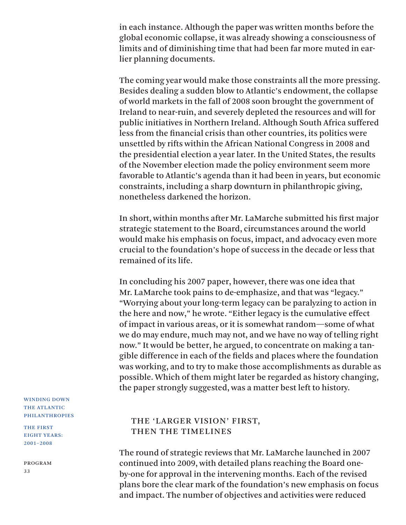in each instance. Although the paper was written months before the global economic collapse, it was already showing a consciousness of limits and of diminishing time that had been far more muted in earlier planning documents.

The coming year would make those constraints all the more pressing. Besides dealing a sudden blow to Atlantic's endowment, the collapse of world markets in the fall of 2008 soon brought the government of Ireland to near-ruin, and severely depleted the resources and will for public initiatives in Northern Ireland. Although South Africa suffered less from the financial crisis than other countries, its politics were unsettled by rifts within the African National Congress in 2008 and the presidential election a year later. In the United States, the results of the November election made the policy environment seem more favorable to Atlantic's agenda than it had been in years, but economic constraints, including a sharp downturn in philanthropic giving, nonetheless darkened the horizon.

In short, within months after Mr. LaMarche submitted his first major strategic statement to the Board, circumstances around the world would make his emphasis on focus, impact, and advocacy even more crucial to the foundation's hope of success in the decade or less that remained of its life.

In concluding his 2007 paper, however, there was one idea that Mr. LaMarche took pains to de-emphasize, and that was "legacy." "Worrying about your long-term legacy can be paralyzing to action in the here and now," he wrote. "Either legacy is the cumulative effect of impact in various areas, or it is somewhat random—some of what we do may endure, much may not, and we have no way of telling right now." It would be better, he argued, to concentrate on making a tangible difference in each of the fields and places where the foundation was working, and to try to make those accomplishments as durable as possible. Which of them might later be regarded as history changing, the paper strongly suggested, was a matter best left to history.

## THE 'LARGER VISION' FIRST, THEN THE TIMELINES

The round of strategic reviews that Mr. LaMarche launched in 2007 continued into 2009, with detailed plans reaching the Board oneby-one for approval in the intervening months. Each of the revised plans bore the clear mark of the foundation's new emphasis on focus and impact. The number of objectives and activities were reduced

WINDING DOWN THE ATLANTIC PHILANTHROPIES

THE FIRST EIGHT YEARS: 2001–2008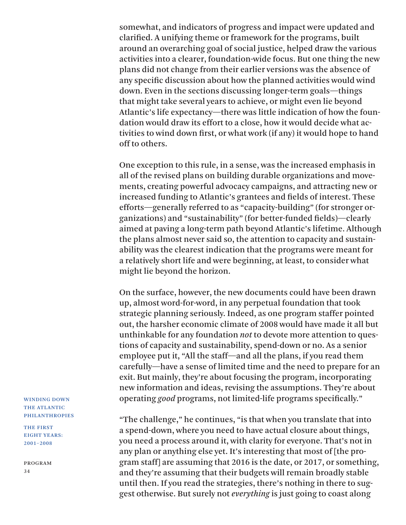somewhat, and indicators of progress and impact were updated and clarified. A unifying theme or framework for the programs, built around an overarching goal of social justice, helped draw the various activities into a clearer, foundation-wide focus. But one thing the new plans did not change from their earlier versions was the absence of any specific discussion about how the planned activities would wind down. Even in the sections discussing longer-term goals—things that might take several years to achieve, or might even lie beyond Atlantic's life expectancy—there was little indication of how the foundation would draw its effort to a close, how it would decide what activities to wind down first, or what work (if any) it would hope to hand off to others.

One exception to this rule, in a sense, was the increased emphasis in all of the revised plans on building durable organizations and movements, creating powerful advocacy campaigns, and attracting new or increased funding to Atlantic's grantees and fields of interest. These efforts—generally referred to as "capacity-building" (for stronger organizations) and "sustainability" (for better-funded fields)—clearly aimed at paving a long-term path beyond Atlantic's lifetime. Although the plans almost never said so, the attention to capacity and sustainability was the clearest indication that the programs were meant for a relatively short life and were beginning, at least, to consider what might lie beyond the horizon.

On the surface, however, the new documents could have been drawn up, almost word-for-word, in any perpetual foundation that took strategic planning seriously. Indeed, as one program staffer pointed out, the harsher economic climate of 2008 would have made it all but unthinkable for any foundation *not* to devote more attention to questions of capacity and sustainability, spend-down or no. As a senior employee put it, "All the staff—and all the plans, if you read them carefully—have a sense of limited time and the need to prepare for an exit. But mainly, they're about focusing the program, incorporating new information and ideas, revising the assumptions. They're about operating *good* programs, not limited-life programs specifically."

"The challenge," he continues, "is that when you translate that into a spend-down, where you need to have actual closure about things, you need a process around it, with clarity for everyone. That's not in any plan or anything else yet. It's interesting that most of [the program staff] are assuming that 2016 is the date, or 2017, or something, and they're assuming that their budgets will remain broadly stable until then. If you read the strategies, there's nothing in there to suggest otherwise. But surely not *everything* is just going to coast along

WINDING DOWN THE ATLANTIC PHILANTHROPIES

THE FIRST EIGHT YEARS: 2001–2008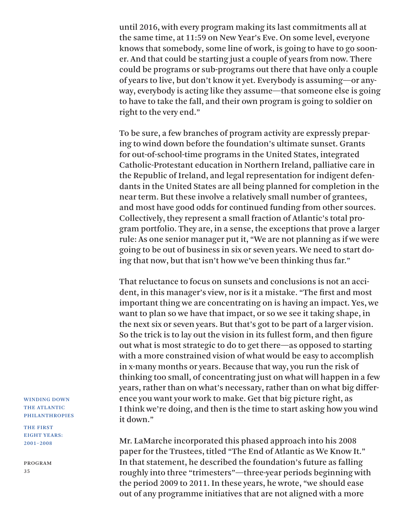until 2016, with every program making its last commitments all at the same time, at 11:59 on New Year's Eve. On some level, everyone knows that somebody, some line of work, is going to have to go sooner. And that could be starting just a couple of years from now. There could be programs or sub-programs out there that have only a couple of years to live, but don't know it yet. Everybody is assuming—or anyway, everybody is acting like they assume—that someone else is going to have to take the fall, and their own program is going to soldier on right to the very end."

To be sure, a few branches of program activity are expressly preparing to wind down before the foundation's ultimate sunset. Grants for out-of-school-time programs in the United States, integrated Catholic-Protestant education in Northern Ireland, palliative care in the Republic of Ireland, and legal representation for indigent defendants in the United States are all being planned for completion in the near term. But these involve a relatively small number of grantees, and most have good odds for continued funding from other sources. Collectively, they represent a small fraction of Atlantic's total program portfolio. They are, in a sense, the exceptions that prove a larger rule: As one senior manager put it, "We are not planning as if we were going to be out of business in six or seven years. We need to start doing that now, but that isn't how we've been thinking thus far."

That reluctance to focus on sunsets and conclusions is not an accident, in this manager's view, nor is it a mistake. "The first and most important thing we are concentrating on is having an impact. Yes, we want to plan so we have that impact, or so we see it taking shape, in the next six or seven years. But that's got to be part of a larger vision. So the trick is to lay out the vision in its fullest form, and then figure out what is most strategic to do to get there—as opposed to starting with a more constrained vision of what would be easy to accomplish in x-many months or years. Because that way, you run the risk of thinking too small, of concentrating just on what will happen in a few years, rather than on what's necessary, rather than on what big difference you want your work to make. Get that big picture right, as I think we're doing, and then is the time to start asking how you wind it down."

Mr. LaMarche incorporated this phased approach into his 2008 paper for the Trustees, titled "The End of Atlantic as We Know It." In that statement, he described the foundation's future as falling roughly into three "trimesters"—three-year periods beginning with the period 2009 to 2011. In these years, he wrote, "we should ease out of any programme initiatives that are not aligned with a more

WINDING DOWN THE ATLANTIC PHILANTHROPIES

THE FIRST EIGHT YEARS: 2001–2008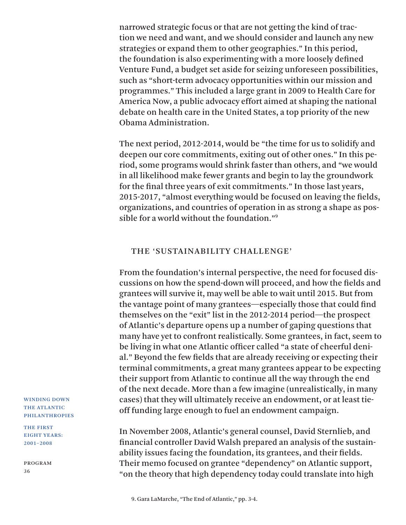narrowed strategic focus or that are not getting the kind of traction we need and want, and we should consider and launch any new strategies or expand them to other geographies." In this period, the foundation is also experimenting with a more loosely defined Venture Fund, a budget set aside for seizing unforeseen possibilities, such as "short-term advocacy opportunities within our mission and programmes." This included a large grant in 2009 to Health Care for America Now, a public advocacy effort aimed at shaping the national debate on health care in the United States, a top priority of the new Obama Administration.

The next period, 2012-2014, would be "the time for us to solidify and deepen our core commitments, exiting out of other ones." In this period, some programs would shrink faster than others, and "we would in all likelihood make fewer grants and begin to lay the groundwork for the final three years of exit commitments." In those last years, 2015-2017, "almost everything would be focused on leaving the fields, organizations, and countries of operation in as strong a shape as possible for a world without the foundation."9

### THE 'SUSTAINABILITY CHALLENGE'

From the foundation's internal perspective, the need for focused discussions on how the spend-down will proceed, and how the fields and grantees will survive it, may well be able to wait until 2015. But from the vantage point of many grantees—especially those that could find themselves on the "exit" list in the 2012-2014 period—the prospect of Atlantic's departure opens up a number of gaping questions that many have yet to confront realistically. Some grantees, in fact, seem to be living in what one Atlantic officer called "a state of cheerful denial." Beyond the few fields that are already receiving or expecting their terminal commitments, a great many grantees appear to be expecting their support from Atlantic to continue all the way through the end of the next decade. More than a few imagine (unrealistically, in many cases) that they will ultimately receive an endowment, or at least tieoff funding large enough to fuel an endowment campaign.

In November 2008, Atlantic's general counsel, David Sternlieb, and financial controller David Walsh prepared an analysis of the sustainability issues facing the foundation, its grantees, and their fields. Their memo focused on grantee "dependency" on Atlantic support, "on the theory that high dependency today could translate into high

THE FIRST EIGHT YEARS: 2001–2008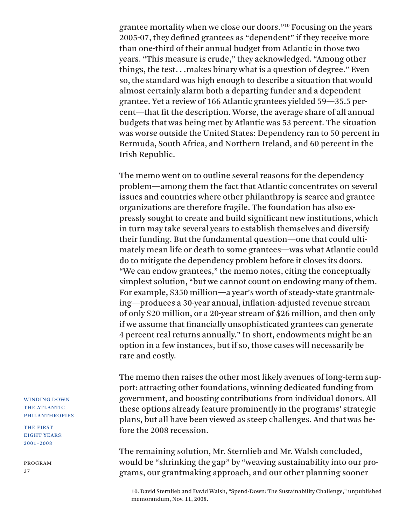grantee mortality when we close our doors."10 Focusing on the years 2005-07, they defined grantees as "dependent" if they receive more than one-third of their annual budget from Atlantic in those two years. "This measure is crude," they acknowledged. "Among other things, the test. . .makes binary what is a question of degree." Even so, the standard was high enough to describe a situation that would almost certainly alarm both a departing funder and a dependent grantee. Yet a review of 166 Atlantic grantees yielded 59—35.5 percent—that fit the description. Worse, the average share of all annual budgets that was being met by Atlantic was 53 percent. The situation was worse outside the United States: Dependency ran to 50 percent in Bermuda, South Africa, and Northern Ireland, and 60 percent in the Irish Republic.

The memo went on to outline several reasons for the dependency problem—among them the fact that Atlantic concentrates on several issues and countries where other philanthropy is scarce and grantee organizations are therefore fragile. The foundation has also expressly sought to create and build significant new institutions, which in turn may take several years to establish themselves and diversify their funding. But the fundamental question—one that could ultimately mean life or death to some grantees—was what Atlantic could do to mitigate the dependency problem before it closes its doors. "We can endow grantees," the memo notes, citing the conceptually simplest solution, "but we cannot count on endowing many of them. For example, \$350 million—a year's worth of steady-state grantmaking—produces a 30-year annual, inflation-adjusted revenue stream of only \$20 million, or a 20-year stream of \$26 million, and then only if we assume that financially unsophisticated grantees can generate 4 percent real returns annually." In short, endowments might be an option in a few instances, but if so, those cases will necessarily be rare and costly.

The memo then raises the other most likely avenues of long-term support: attracting other foundations, winning dedicated funding from government, and boosting contributions from individual donors. All these options already feature prominently in the programs' strategic plans, but all have been viewed as steep challenges. And that was before the 2008 recession.

The remaining solution, Mr. Sternlieb and Mr. Walsh concluded, would be "shrinking the gap" by "weaving sustainability into our programs, our grantmaking approach, and our other planning sooner

10. David Sternlieb and David Walsh, "Spend-Down: The Sustainability Challenge," unpublished memorandum, Nov. 11, 2008.

### WINDING DOWN THE ATLANTIC PHILANTHROPIES

THE FIRST EIGHT YEARS: 2001–2008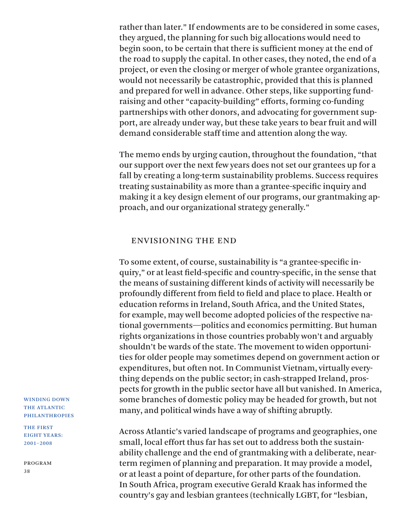rather than later." If endowments are to be considered in some cases, they argued, the planning for such big allocations would need to begin soon, to be certain that there is sufficient money at the end of the road to supply the capital. In other cases, they noted, the end of a project, or even the closing or merger of whole grantee organizations, would not necessarily be catastrophic, provided that this is planned and prepared for well in advance. Other steps, like supporting fundraising and other "capacity-building" efforts, forming co-funding partnerships with other donors, and advocating for government support, are already under way, but these take years to bear fruit and will demand considerable staff time and attention along the way.

The memo ends by urging caution, throughout the foundation, "that our support over the next few years does not set our grantees up for a fall by creating a long-term sustainability problems. Success requires treating sustainability as more than a grantee-specific inquiry and making it a key design element of our programs, our grantmaking approach, and our organizational strategy generally."

### ENVISIONING THE END

To some extent, of course, sustainability is "a grantee-specific inquiry," or at least field-specific and country-specific, in the sense that the means of sustaining different kinds of activity will necessarily be profoundly different from field to field and place to place. Health or education reforms in Ireland, South Africa, and the United States, for example, may well become adopted policies of the respective national governments—politics and economics permitting. But human rights organizations in those countries probably won't and arguably shouldn't be wards of the state. The movement to widen opportunities for older people may sometimes depend on government action or expenditures, but often not. In Communist Vietnam, virtually everything depends on the public sector; in cash-strapped Ireland, prospects for growth in the public sector have all but vanished. In America, some branches of domestic policy may be headed for growth, but not many, and political winds have a way of shifting abruptly.

Across Atlantic's varied landscape of programs and geographies, one small, local effort thus far has set out to address both the sustainability challenge and the end of grantmaking with a deliberate, nearterm regimen of planning and preparation. It may provide a model, or at least a point of departure, for other parts of the foundation. In South Africa, program executive Gerald Kraak has informed the country's gay and lesbian grantees (technically LGBT, for "lesbian,

WINDING DOWN THE ATLANTIC PHILANTHROPIES

THE FIRST EIGHT YEARS: 2001–2008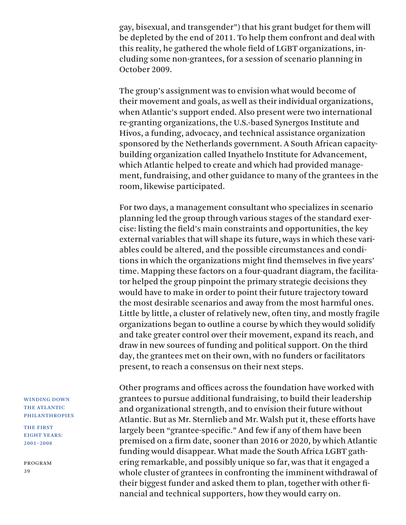gay, bisexual, and transgender") that his grant budget for them will be depleted by the end of 2011. To help them confront and deal with this reality, he gathered the whole field of LGBT organizations, including some non-grantees, for a session of scenario planning in October 2009.

The group's assignment was to envision what would become of their movement and goals, as well as their individual organizations, when Atlantic's support ended. Also present were two international re-granting organizations, the U.S.-based Synergos Institute and Hivos, a funding, advocacy, and technical assistance organization sponsored by the Netherlands government. A South African capacitybuilding organization called Inyathelo Institute for Advancement, which Atlantic helped to create and which had provided management, fundraising, and other guidance to many of the grantees in the room, likewise participated.

For two days, a management consultant who specializes in scenario planning led the group through various stages of the standard exercise: listing the field's main constraints and opportunities, the key external variables that will shape its future, ways in which these variables could be altered, and the possible circumstances and conditions in which the organizations might find themselves in five years' time. Mapping these factors on a four-quadrant diagram, the facilitator helped the group pinpoint the primary strategic decisions they would have to make in order to point their future trajectory toward the most desirable scenarios and away from the most harmful ones. Little by little, a cluster of relatively new, often tiny, and mostly fragile organizations began to outline a course by which they would solidify and take greater control over their movement, expand its reach, and draw in new sources of funding and political support. On the third day, the grantees met on their own, with no funders or facilitators present, to reach a consensus on their next steps.

Other programs and offices across the foundation have worked with grantees to pursue additional fundraising, to build their leadership and organizational strength, and to envision their future without Atlantic. But as Mr. Sternlieb and Mr. Walsh put it, these efforts have largely been "grantee-specific." And few if any of them have been premised on a firm date, sooner than 2016 or 2020, by which Atlantic funding would disappear. What made the South Africa LGBT gathering remarkable, and possibly unique so far, was that it engaged a whole cluster of grantees in confronting the imminent withdrawal of their biggest funder and asked them to plan, together with other financial and technical supporters, how they would carry on.

WINDING DOWN THE ATLANTIC PHILANTHROPIES

THE FIRST EIGHT YEARS: 2001–2008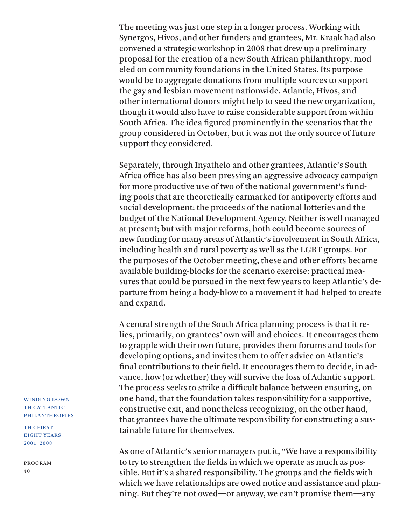The meeting was just one step in a longer process. Working with Synergos, Hivos, and other funders and grantees, Mr. Kraak had also convened a strategic workshop in 2008 that drew up a preliminary proposal for the creation of a new South African philanthropy, modeled on community foundations in the United States. Its purpose would be to aggregate donations from multiple sources to support the gay and lesbian movement nationwide. Atlantic, Hivos, and other international donors might help to seed the new organization, though it would also have to raise considerable support from within South Africa. The idea figured prominently in the scenarios that the group considered in October, but it was not the only source of future support they considered.

Separately, through Inyathelo and other grantees, Atlantic's South Africa office has also been pressing an aggressive advocacy campaign for more productive use of two of the national government's funding pools that are theoretically earmarked for antipoverty efforts and social development: the proceeds of the national lotteries and the budget of the National Development Agency. Neither is well managed at present; but with major reforms, both could become sources of new funding for many areas of Atlantic's involvement in South Africa, including health and rural poverty as well as the LGBT groups. For the purposes of the October meeting, these and other efforts became available building-blocks for the scenario exercise: practical measures that could be pursued in the next few years to keep Atlantic's departure from being a body-blow to a movement it had helped to create and expand.

A central strength of the South Africa planning process is that it relies, primarily, on grantees' own will and choices. It encourages them to grapple with their own future, provides them forums and tools for developing options, and invites them to offer advice on Atlantic's final contributions to their field. It encourages them to decide, in advance, how (or whether) they will survive the loss of Atlantic support. The process seeks to strike a difficult balance between ensuring, on one hand, that the foundation takes responsibility for a supportive, constructive exit, and nonetheless recognizing, on the other hand, that grantees have the ultimate responsibility for constructing a sustainable future for themselves.

As one of Atlantic's senior managers put it, "We have a responsibility to try to strengthen the fields in which we operate as much as possible. But it's a shared responsibility. The groups and the fields with which we have relationships are owed notice and assistance and planning. But they're not owed—or anyway, we can't promise them—any

WINDING DOWN THE ATLANTIC PHILANTHROPIES

THE FIRST EIGHT YEARS: 2001–2008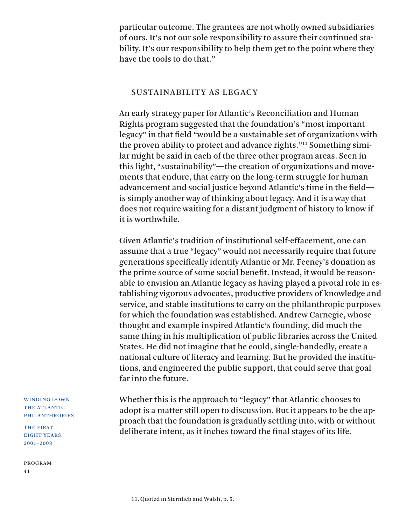particular outcome. The grantees are not wholly owned subsidiaries of ours. It's not our sole responsibility to assure their continued stability. It's our responsibility to help them get to the point where they have the tools to do that."

### SUSTAINABILITY AS LEGACY

An early strategy paper for Atlantic's Reconciliation and Human Rights program suggested that the foundation's "most important legacy" in that field "would be a sustainable set of organizations with the proven ability to protect and advance rights."11 Something similar might be said in each of the three other program areas. Seen in this light, "sustainability"—the creation of organizations and movements that endure, that carry on the long-term struggle for human advancement and social justice beyond Atlantic's time in the field is simply another way of thinking about legacy. And it is a way that does not require waiting for a distant judgment of history to know if it is worthwhile.

Given Atlantic's tradition of institutional self-effacement, one can assume that a true "legacy" would not necessarily require that future generations specifically identify Atlantic or Mr. Feeney's donation as the prime source of some social benefit. Instead, it would be reasonable to envision an Atlantic legacy as having played a pivotal role in establishing vigorous advocates, productive providers of knowledge and service, and stable institutions to carry on the philanthropic purposes for which the foundation was established. Andrew Carnegie, whose thought and example inspired Atlantic's founding, did much the same thing in his multiplication of public libraries across the United States. He did not imagine that he could, single-handedly, create a national culture of literacy and learning. But he provided the institutions, and engineered the public support, that could serve that goal far into the future.

Whether this is the approach to "legacy" that Atlantic chooses to adopt is a matter still open to discussion. But it appears to be the approach that the foundation is gradually settling into, with or without deliberate intent, as it inches toward the final stages of its life.

WINDING DOWN THE ATLANTIC PHILANTHROPIES

THE FIRST EIGHT YEARS: 2001–2008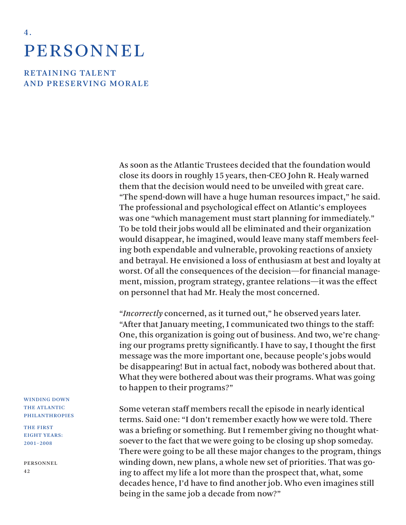# **PERSONNEL**

4 .

RETAINING TALENT AND PRESERVING MORALE

> As soon as the Atlantic Trustees decided that the foundation would close its doors in roughly 15 years, then-CEO John R. Healy warned them that the decision would need to be unveiled with great care. "The spend-down will have a huge human resources impact," he said. The professional and psychological effect on Atlantic's employees was one "which management must start planning for immediately." To be told their jobs would all be eliminated and their organization would disappear, he imagined, would leave many staff members feeling both expendable and vulnerable, provoking reactions of anxiety and betrayal. He envisioned a loss of enthusiasm at best and loyalty at worst. Of all the consequences of the decision—for financial management, mission, program strategy, grantee relations—it was the effect on personnel that had Mr. Healy the most concerned.

> "*Incorrectly* concerned, as it turned out," he observed years later. "After that January meeting, I communicated two things to the staff: One, this organization is going out of business. And two, we're changing our programs pretty significantly. I have to say, I thought the first message was the more important one, because people's jobs would be disappearing! But in actual fact, nobody was bothered about that. What they were bothered about was their programs. What was going to happen to their programs?"

> Some veteran staff members recall the episode in nearly identical terms. Said one: "I don't remember exactly how we were told. There was a briefing or something. But I remember giving no thought whatsoever to the fact that we were going to be closing up shop someday. There were going to be all these major changes to the program, things winding down, new plans, a whole new set of priorities. That was going to affect my life a lot more than the prospect that, what, some decades hence, I'd have to find another job. Who even imagines still being in the same job a decade from now?"

WINDING DOWN THE ATLANTIC PHILANTHROPIES

THE FIRST EIGHT YEARS: 2001–2008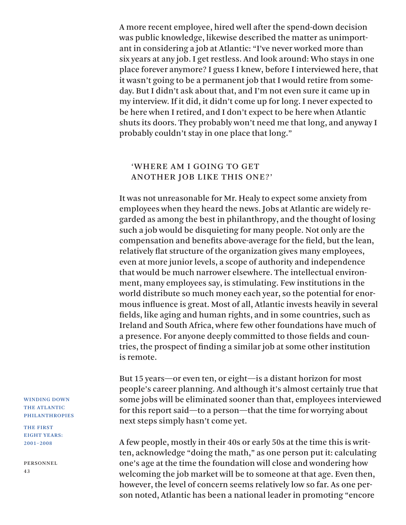A more recent employee, hired well after the spend-down decision was public knowledge, likewise described the matter as unimportant in considering a job at Atlantic: "I've never worked more than six years at any job. I get restless. And look around: Who stays in one place forever anymore? I guess I knew, before I interviewed here, that it wasn't going to be a permanent job that I would retire from someday. But I didn't ask about that, and I'm not even sure it came up in my interview. If it did, it didn't come up for long. I never expected to be here when I retired, and I don't expect to be here when Atlantic shuts its doors. They probably won't need me that long, and anyway I probably couldn't stay in one place that long."

### 'WHERE AM I GOING TO GET ANOTHER JOB LIKE THIS ONE?'

It was not unreasonable for Mr. Healy to expect some anxiety from employees when they heard the news. Jobs at Atlantic are widely regarded as among the best in philanthropy, and the thought of losing such a job would be disquieting for many people. Not only are the compensation and benefits above-average for the field, but the lean, relatively flat structure of the organization gives many employees, even at more junior levels, a scope of authority and independence that would be much narrower elsewhere. The intellectual environment, many employees say, is stimulating. Few institutions in the world distribute so much money each year, so the potential for enormous influence is great. Most of all, Atlantic invests heavily in several fields, like aging and human rights, and in some countries, such as Ireland and South Africa, where few other foundations have much of a presence. For anyone deeply committed to those fields and countries, the prospect of finding a similar job at some other institution is remote.

But 15 years—or even ten, or eight—is a distant horizon for most people's career planning. And although it's almost certainly true that some jobs will be eliminated sooner than that, employees interviewed for this report said—to a person—that the time for worrying about next steps simply hasn't come yet.

A few people, mostly in their 40s or early 50s at the time this is written, acknowledge "doing the math," as one person put it: calculating one's age at the time the foundation will close and wondering how welcoming the job market will be to someone at that age. Even then, however, the level of concern seems relatively low so far. As one person noted, Atlantic has been a national leader in promoting "encore

WINDING DOWN THE ATLANTIC PHILANTHROPIES

THE FIRST EIGHT YEARS: 2001–2008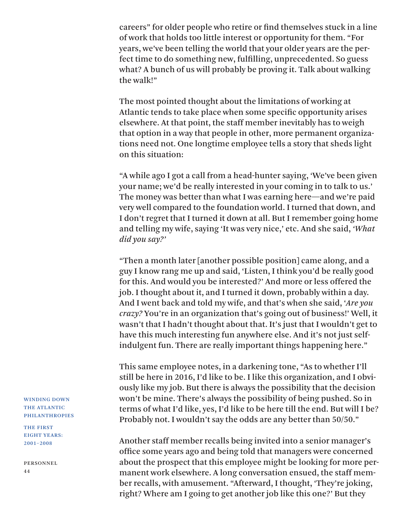careers" for older people who retire or find themselves stuck in a line of work that holds too little interest or opportunity for them. "For years, we've been telling the world that your older years are the perfect time to do something new, fulfilling, unprecedented. So guess what? A bunch of us will probably be proving it. Talk about walking the walk!"

The most pointed thought about the limitations of working at Atlantic tends to take place when some specific opportunity arises elsewhere. At that point, the staff member inevitably has to weigh that option in a way that people in other, more permanent organizations need not. One longtime employee tells a story that sheds light on this situation:

"A while ago I got a call from a head-hunter saying, 'We've been given your name; we'd be really interested in your coming in to talk to us.' The money was better than what I was earning here—and we're paid very well compared to the foundation world. I turned that down, and I don't regret that I turned it down at all. But I remember going home and telling my wife, saying 'It was very nice,' etc. And she said, *'What did you say?'*

"Then a month later [another possible position] came along, and a guy I know rang me up and said, 'Listen, I think you'd be really good for this. And would you be interested?' And more or less offered the job. I thought about it, and I turned it down, probably within a day. And I went back and told my wife, and that's when she said, '*Are you crazy?* You're in an organization that's going out of business!' Well, it wasn't that I hadn't thought about that. It's just that I wouldn't get to have this much interesting fun anywhere else. And it's not just selfindulgent fun. There are really important things happening here."

This same employee notes, in a darkening tone, "As to whether I'll still be here in 2016, I'd like to be. I like this organization, and I obviously like my job. But there is always the possibility that the decision won't be mine. There's always the possibility of being pushed. So in terms of what I'd like, yes, I'd like to be here till the end. But will I be? Probably not. I wouldn't say the odds are any better than 50/50."

Another staff member recalls being invited into a senior manager's office some years ago and being told that managers were concerned about the prospect that this employee might be looking for more permanent work elsewhere. A long conversation ensued, the staff member recalls, with amusement. "Afterward, I thought, 'They're joking, right? Where am I going to get another job like this one?' But they

WINDING DOWN THE ATLANTIC PHILANTHROPIES

THE FIRST EIGHT YEARS: 2001–2008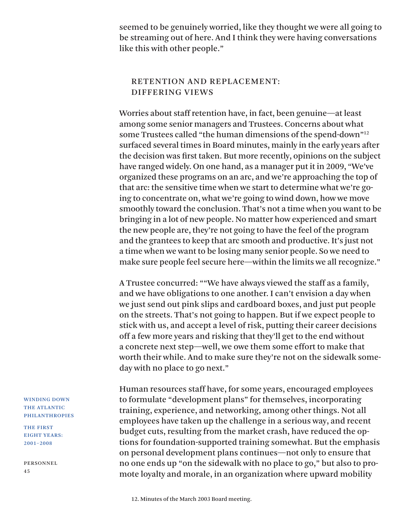seemed to be genuinely worried, like they thought we were all going to be streaming out of here. And I think they were having conversations like this with other people."

### RETENTION AND REPLACEMENT: DIFFERING VIEWS

Worries about staff retention have, in fact, been genuine—at least among some senior managers and Trustees. Concerns about what some Trustees called "the human dimensions of the spend-down"12 surfaced several times in Board minutes, mainly in the early years after the decision was first taken. But more recently, opinions on the subject have ranged widely. On one hand, as a manager put it in 2009, "We've organized these programs on an arc, and we're approaching the top of that arc: the sensitive time when we start to determine what we're going to concentrate on, what we're going to wind down, how we move smoothly toward the conclusion. That's not a time when you want to be bringing in a lot of new people. No matter how experienced and smart the new people are, they're not going to have the feel of the program and the grantees to keep that arc smooth and productive. It's just not a time when we want to be losing many senior people. So we need to make sure people feel secure here—within the limits we all recognize."

A Trustee concurred: ""We have always viewed the staff as a family, and we have obligations to one another. I can't envision a day when we just send out pink slips and cardboard boxes, and just put people on the streets. That's not going to happen. But if we expect people to stick with us, and accept a level of risk, putting their career decisions off a few more years and risking that they'll get to the end without a concrete next step—well, we owe them some effort to make that worth their while. And to make sure they're not on the sidewalk someday with no place to go next."

Human resources staff have, for some years, encouraged employees to formulate "development plans" for themselves, incorporating training, experience, and networking, among other things. Not all employees have taken up the challenge in a serious way, and recent budget cuts, resulting from the market crash, have reduced the options for foundation-supported training somewhat. But the emphasis on personal development plans continues—not only to ensure that no one ends up "on the sidewalk with no place to go," but also to promote loyalty and morale, in an organization where upward mobility

THE FIRST EIGHT YEARS: 2001–2008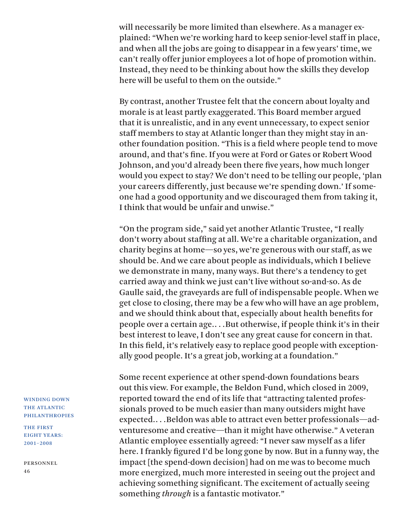will necessarily be more limited than elsewhere. As a manager explained: "When we're working hard to keep senior-level staff in place, and when all the jobs are going to disappear in a few years' time, we can't really offer junior employees a lot of hope of promotion within. Instead, they need to be thinking about how the skills they develop here will be useful to them on the outside."

By contrast, another Trustee felt that the concern about loyalty and morale is at least partly exaggerated. This Board member argued that it is unrealistic, and in any event unnecessary, to expect senior staff members to stay at Atlantic longer than they might stay in another foundation position. "This is a field where people tend to move around, and that's fine. If you were at Ford or Gates or Robert Wood Johnson, and you'd already been there five years, how much longer would you expect to stay? We don't need to be telling our people, 'plan your careers differently, just because we're spending down.' If someone had a good opportunity and we discouraged them from taking it, I think that would be unfair and unwise."

"On the program side," said yet another Atlantic Trustee, "I really don't worry about staffing at all. We're a charitable organization, and charity begins at home—so yes, we're generous with our staff, as we should be. And we care about people as individuals, which I believe we demonstrate in many, many ways. But there's a tendency to get carried away and think we just can't live without so-and-so. As de Gaulle said, the graveyards are full of indispensable people. When we get close to closing, there may be a few who will have an age problem, and we should think about that, especially about health benefits for people over a certain age.. . .But otherwise, if people think it's in their best interest to leave, I don't see any great cause for concern in that. In this field, it's relatively easy to replace good people with exceptionally good people. It's a great job, working at a foundation."

Some recent experience at other spend-down foundations bears out this view. For example, the Beldon Fund, which closed in 2009, reported toward the end of its life that "attracting talented professionals proved to be much easier than many outsiders might have expected.. . .Beldon was able to attract even better professionals—adventuresome and creative—than it might have otherwise." A veteran Atlantic employee essentially agreed: "I never saw myself as a lifer here. I frankly figured I'd be long gone by now. But in a funny way, the impact [the spend-down decision] had on me was to become much more energized, much more interested in seeing out the project and achieving something significant. The excitement of actually seeing something *through* is a fantastic motivator."

### WINDING DOWN THE ATLANTIC PHILANTHROPIES

THE FIRST EIGHT YEARS: 2001–2008

Personnel 46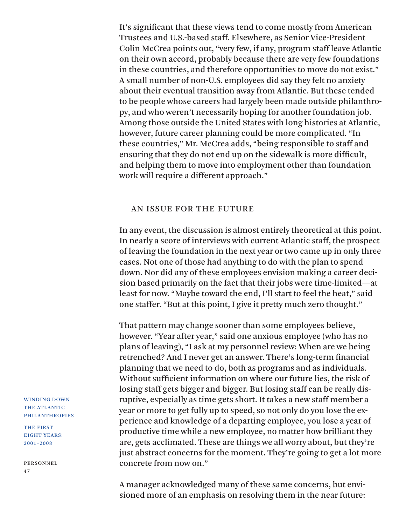It's significant that these views tend to come mostly from American Trustees and U.S.-based staff. Elsewhere, as Senior Vice-President Colin McCrea points out, "very few, if any, program staff leave Atlantic on their own accord, probably because there are very few foundations in these countries, and therefore opportunities to move do not exist." A small number of non-U.S. employees did say they felt no anxiety about their eventual transition away from Atlantic. But these tended to be people whose careers had largely been made outside philanthropy, and who weren't necessarily hoping for another foundation job. Among those outside the United States with long histories at Atlantic, however, future career planning could be more complicated. "In these countries," Mr. McCrea adds, "being responsible to staff and ensuring that they do not end up on the sidewalk is more difficult, and helping them to move into employment other than foundation work will require a different approach."

### AN ISSUE FOR THE FUTURE

In any event, the discussion is almost entirely theoretical at this point. In nearly a score of interviews with current Atlantic staff, the prospect of leaving the foundation in the next year or two came up in only three cases. Not one of those had anything to do with the plan to spend down. Nor did any of these employees envision making a career decision based primarily on the fact that their jobs were time-limited—at least for now. "Maybe toward the end, I'll start to feel the heat," said one staffer. "But at this point, I give it pretty much zero thought."

That pattern may change sooner than some employees believe, however. "Year after year," said one anxious employee (who has no plans of leaving), "I ask at my personnel review: When are we being retrenched? And I never get an answer. There's long-term financial planning that we need to do, both as programs and as individuals. Without sufficient information on where our future lies, the risk of losing staff gets bigger and bigger. But losing staff can be really disruptive, especially as time gets short. It takes a new staff member a year or more to get fully up to speed, so not only do you lose the experience and knowledge of a departing employee, you lose a year of productive time while a new employee, no matter how brilliant they are, gets acclimated. These are things we all worry about, but they're just abstract concerns for the moment. They're going to get a lot more concrete from now on."

A manager acknowledged many of these same concerns, but envisioned more of an emphasis on resolving them in the near future:

WINDING DOWN THE ATLANTIC PHILANTHROPIES

THE FIRST EIGHT YEARS: 2001–2008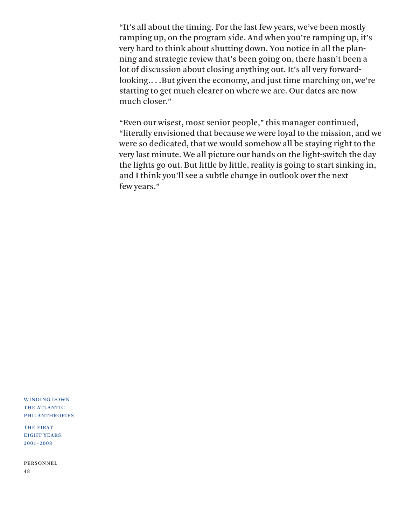"It's all about the timing. For the last few years, we've been mostly ramping up, on the program side. And when you're ramping up, it's very hard to think about shutting down. You notice in all the planning and strategic review that's been going on, there hasn't been a lot of discussion about closing anything out. It's all very forwardlooking.. . .But given the economy, and just time marching on, we're starting to get much clearer on where we are. Our dates are now much closer."

"Even our wisest, most senior people," this manager continued, "literally envisioned that because we were loyal to the mission, and we were so dedicated, that we would somehow all be staying right to the very last minute. We all picture our hands on the light-switch the day the lights go out. But little by little, reality is going to start sinking in, and I think you'll see a subtle change in outlook over the next few years."

WINDING DOWN THE ATLANTIC PHILANTHROPIES

THE FIRST EIGHT YEARS: 2001–2008

Personnel 48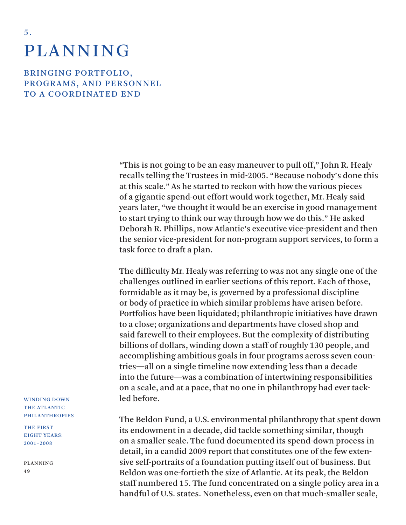# PLANNING

5 .

BRINGING PORTFOLIO, PROGRAMS, AND PERSONNEL TO A COORDINATED END

> "This is not going to be an easy maneuver to pull off," John R. Healy recalls telling the Trustees in mid-2005. "Because nobody's done this at this scale." As he started to reckon with how the various pieces of a gigantic spend-out effort would work together, Mr. Healy said years later, "we thought it would be an exercise in good management to start trying to think our way through how we do this." He asked Deborah R. Phillips, now Atlantic's executive vice-president and then the senior vice-president for non-program support services, to form a task force to draft a plan.

> The difficulty Mr. Healy was referring to was not any single one of the challenges outlined in earlier sections of this report. Each of those, formidable as it may be, is governed by a professional discipline or body of practice in which similar problems have arisen before. Portfolios have been liquidated; philanthropic initiatives have drawn to a close; organizations and departments have closed shop and said farewell to their employees. But the complexity of distributing billions of dollars, winding down a staff of roughly 130 people, and accomplishing ambitious goals in four programs across seven countries—all on a single timeline now extending less than a decade into the future—was a combination of intertwining responsibilities on a scale, and at a pace, that no one in philanthropy had ever tackled before.

The Beldon Fund, a U.S. environmental philanthropy that spent down its endowment in a decade, did tackle something similar, though on a smaller scale. The fund documented its spend-down process in detail, in a candid 2009 report that constitutes one of the few extensive self-portraits of a foundation putting itself out of business. But Beldon was one-fortieth the size of Atlantic. At its peak, the Beldon staff numbered 15. The fund concentrated on a single policy area in a handful of U.S. states. Nonetheless, even on that much-smaller scale,

WINDING DOWN THE ATLANTIC PHILANTHROPIES

THE FIRST EIGHT YEARS: 2001–2008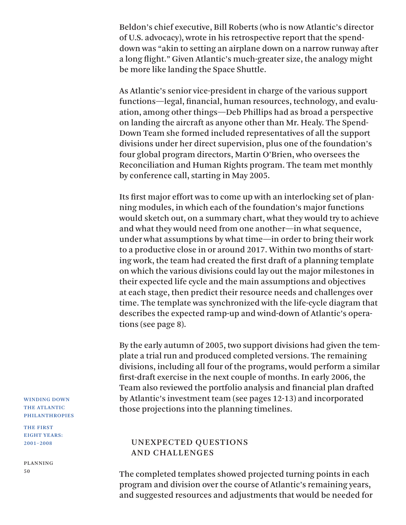Beldon's chief executive, Bill Roberts (who is now Atlantic's director of U.S. advocacy), wrote in his retrospective report that the spenddown was "akin to setting an airplane down on a narrow runway after a long flight." Given Atlantic's much-greater size, the analogy might be more like landing the Space Shuttle.

As Atlantic's senior vice-president in charge of the various support functions—legal, financial, human resources, technology, and evaluation, among other things—Deb Phillips had as broad a perspective on landing the aircraft as anyone other than Mr. Healy. The Spend-Down Team she formed included representatives of all the support divisions under her direct supervision, plus one of the foundation's four global program directors, Martin O'Brien, who oversees the Reconciliation and Human Rights program. The team met monthly by conference call, starting in May 2005.

Its first major effort was to come up with an interlocking set of planning modules, in which each of the foundation's major functions would sketch out, on a summary chart, what they would try to achieve and what they would need from one another—in what sequence, under what assumptions by what time—in order to bring their work to a productive close in or around 2017. Within two months of starting work, the team had created the first draft of a planning template on which the various divisions could lay out the major milestones in their expected life cycle and the main assumptions and objectives at each stage, then predict their resource needs and challenges over time. The template was synchronized with the life-cycle diagram that describes the expected ramp-up and wind-down of Atlantic's operations (see page 8).

By the early autumn of 2005, two support divisions had given the template a trial run and produced completed versions. The remaining divisions, including all four of the programs, would perform a similar first-draft exercise in the next couple of months. In early 2006, the Team also reviewed the portfolio analysis and financial plan drafted by Atlantic's investment team (see pages 12-13) and incorporated those projections into the planning timelines.

### UNEXPECTED QUESTIONS AND CHALLENGES

The completed templates showed projected turning points in each program and division over the course of Atlantic's remaining years, and suggested resources and adjustments that would be needed for

WINDING DOWN THE ATLANTIC PHILANTHROPIES

THE FIRST EIGHT YEARS: 2001–2008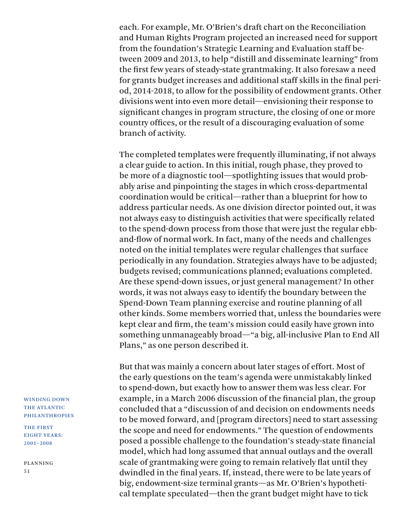each. For example, Mr. O'Brien's draft chart on the Reconciliation and Human Rights Program projected an increased need for support from the foundation's Strategic Learning and Evaluation staff between 2009 and 2013, to help "distill and disseminate learning" from the first few years of steady-state grantmaking. It also foresaw a need for grants budget increases and additional staff skills in the final period, 2014-2018, to allow for the possibility of endowment grants. Other divisions went into even more detail—envisioning their response to significant changes in program structure, the closing of one or more country offices, or the result of a discouraging evaluation of some branch of activity.

The completed templates were frequently illuminating, if not always a clear guide to action. In this initial, rough phase, they proved to be more of a diagnostic tool—spotlighting issues that would probably arise and pinpointing the stages in which cross-departmental coordination would be critical—rather than a blueprint for how to address particular needs. As one division director pointed out, it was not always easy to distinguish activities that were specifically related to the spend-down process from those that were just the regular ebband-flow of normal work. In fact, many of the needs and challenges noted on the initial templates were regular challenges that surface periodically in any foundation. Strategies always have to be adjusted; budgets revised; communications planned; evaluations completed. Are these spend-down issues, or just general management? In other words, it was not always easy to identify the boundary between the Spend-Down Team planning exercise and routine planning of all other kinds. Some members worried that, unless the boundaries were kept clear and firm, the team's mission could easily have grown into something unmanageably broad—"a big, all-inclusive Plan to End All Plans," as one person described it.

But that was mainly a concern about later stages of effort. Most of the early questions on the team's agenda were unmistakably linked to spend-down, but exactly how to answer them was less clear. For example, in a March 2006 discussion of the financial plan, the group concluded that a "discussion of and decision on endowments needs to be moved forward, and [program directors] need to start assessing the scope and need for endowments." The question of endowments posed a possible challenge to the foundation's steady-state financial model, which had long assumed that annual outlays and the overall scale of grantmaking were going to remain relatively flat until they dwindled in the final years. If, instead, there were to be late years of big, endowment-size terminal grants—as Mr. O'Brien's hypothetical template speculated—then the grant budget might have to tick

WINDING DOWN THE ATLANTIC PHILANTHROPIES

THE FIRST EIGHT YEARS: 2001–2008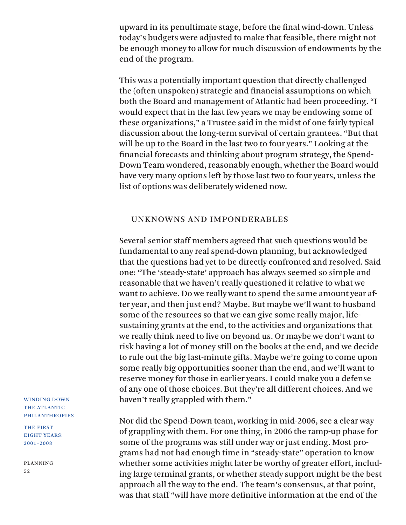upward in its penultimate stage, before the final wind-down. Unless today's budgets were adjusted to make that feasible, there might not be enough money to allow for much discussion of endowments by the end of the program.

This was a potentially important question that directly challenged the (often unspoken) strategic and financial assumptions on which both the Board and management of Atlantic had been proceeding. "I would expect that in the last few years we may be endowing some of these organizations," a Trustee said in the midst of one fairly typical discussion about the long-term survival of certain grantees. "But that will be up to the Board in the last two to four years." Looking at the financial forecasts and thinking about program strategy, the Spend-Down Team wondered, reasonably enough, whether the Board would have very many options left by those last two to four years, unless the list of options was deliberately widened now.

### UNKNOWNS AND IMPONDERABLES

Several senior staff members agreed that such questions would be fundamental to any real spend-down planning, but acknowledged that the questions had yet to be directly confronted and resolved. Said one: "The 'steady-state' approach has always seemed so simple and reasonable that we haven't really questioned it relative to what we want to achieve. Do we really want to spend the same amount year after year, and then just end? Maybe. But maybe we'll want to husband some of the resources so that we can give some really major, lifesustaining grants at the end, to the activities and organizations that we really think need to live on beyond us. Or maybe we don't want to risk having a lot of money still on the books at the end, and we decide to rule out the big last-minute gifts. Maybe we're going to come upon some really big opportunities sooner than the end, and we'll want to reserve money for those in earlier years. I could make you a defense of any one of those choices. But they're all different choices. And we haven't really grappled with them."

Nor did the Spend-Down team, working in mid-2006, see a clear way of grappling with them. For one thing, in 2006 the ramp-up phase for some of the programs was still under way or just ending. Most programs had not had enough time in "steady-state" operation to know whether some activities might later be worthy of greater effort, including large terminal grants, or whether steady support might be the best approach all the way to the end. The team's consensus, at that point, was that staff "will have more definitive information at the end of the

WINDING DOWN THE ATLANTIC PHILANTHROPIES

THE FIRST EIGHT YEARS: 2001–2008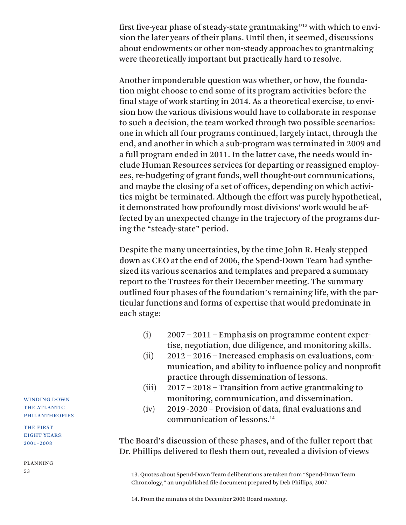first five-year phase of steady-state grantmaking"13 with which to envision the later years of their plans. Until then, it seemed, discussions about endowments or other non-steady approaches to grantmaking were theoretically important but practically hard to resolve.

Another imponderable question was whether, or how, the foundation might choose to end some of its program activities before the final stage of work starting in 2014. As a theoretical exercise, to envision how the various divisions would have to collaborate in response to such a decision, the team worked through two possible scenarios: one in which all four programs continued, largely intact, through the end, and another in which a sub-program was terminated in 2009 and a full program ended in 2011. In the latter case, the needs would include Human Resources services for departing or reassigned employees, re-budgeting of grant funds, well thought-out communications, and maybe the closing of a set of offices, depending on which activities might be terminated. Although the effort was purely hypothetical, it demonstrated how profoundly most divisions' work would be affected by an unexpected change in the trajectory of the programs during the "steady-state" period.

Despite the many uncertainties, by the time John R. Healy stepped down as CEO at the end of 2006, the Spend-Down Team had synthesized its various scenarios and templates and prepared a summary report to the Trustees for their December meeting. The summary outlined four phases of the foundation's remaining life, with the particular functions and forms of expertise that would predominate in each stage:

- (i) 2007 2011 Emphasis on programme content expertise, negotiation, due diligence, and monitoring skills.
- (ii) 2012 2016 Increased emphasis on evaluations, communication, and ability to influence policy and nonprofit practice through dissemination of lessons.
- (iii) 2017 2018 Transition from active grantmaking to monitoring, communication, and dissemination.
- (iv) 2019 -2020 Provision of data, final evaluations and communication of lessons.14

The Board's discussion of these phases, and of the fuller report that Dr. Phillips delivered to flesh them out, revealed a division of views

13. Quotes about Spend-Down Team deliberations are taken from "Spend-Down Team Chronology," an unpublished file document prepared by Deb Phillips, 2007.

WINDING DOWN THE ATLANTIC PHILANTHROPIES

THE FIRST EIGHT YEARS: 2001–2008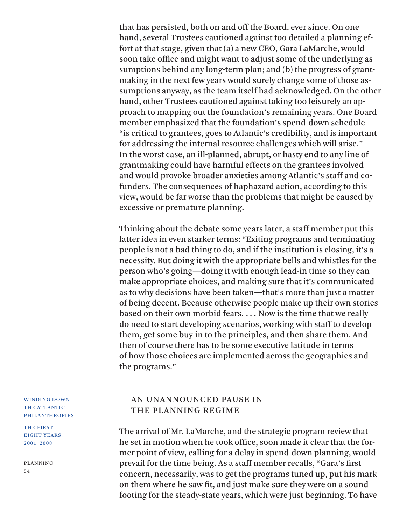that has persisted, both on and off the Board, ever since. On one hand, several Trustees cautioned against too detailed a planning effort at that stage, given that (a) a new CEO, Gara LaMarche, would soon take office and might want to adjust some of the underlying assumptions behind any long-term plan; and (b) the progress of grantmaking in the next few years would surely change some of those assumptions anyway, as the team itself had acknowledged. On the other hand, other Trustees cautioned against taking too leisurely an approach to mapping out the foundation's remaining years. One Board member emphasized that the foundation's spend-down schedule "is critical to grantees, goes to Atlantic's credibility, and is important for addressing the internal resource challenges which will arise." In the worst case, an ill-planned, abrupt, or hasty end to any line of grantmaking could have harmful effects on the grantees involved and would provoke broader anxieties among Atlantic's staff and cofunders. The consequences of haphazard action, according to this view, would be far worse than the problems that might be caused by excessive or premature planning.

Thinking about the debate some years later, a staff member put this latter idea in even starker terms: "Exiting programs and terminating people is not a bad thing to do, and if the institution is closing, it's a necessity. But doing it with the appropriate bells and whistles for the person who's going—doing it with enough lead-in time so they can make appropriate choices, and making sure that it's communicated as to why decisions have been taken—that's more than just a matter of being decent. Because otherwise people make up their own stories based on their own morbid fears. . . . Now is the time that we really do need to start developing scenarios, working with staff to develop them, get some buy-in to the principles, and then share them. And then of course there has to be some executive latitude in terms of how those choices are implemented across the geographies and the programs."

### AN UNANNOUNCED PAUSE IN THE PLANNING REGIME

The arrival of Mr. LaMarche, and the strategic program review that he set in motion when he took office, soon made it clear that the former point of view, calling for a delay in spend-down planning, would prevail for the time being. As a staff member recalls, "Gara's first concern, necessarily, was to get the programs tuned up, put his mark on them where he saw fit, and just make sure they were on a sound footing for the steady-state years, which were just beginning. To have

WINDING DOWN THE ATLANTIC PHILANTHROPIES

THE FIRST EIGHT YEARS: 2001–2008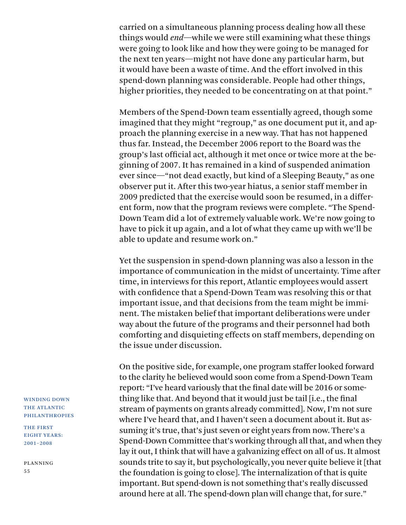carried on a simultaneous planning process dealing how all these things would *end*—while we were still examining what these things were going to look like and how they were going to be managed for the next ten years—might not have done any particular harm, but it would have been a waste of time. And the effort involved in this spend-down planning was considerable. People had other things, higher priorities, they needed to be concentrating on at that point."

Members of the Spend-Down team essentially agreed, though some imagined that they might "regroup," as one document put it, and approach the planning exercise in a new way. That has not happened thus far. Instead, the December 2006 report to the Board was the group's last official act, although it met once or twice more at the beginning of 2007. It has remained in a kind of suspended animation ever since—"not dead exactly, but kind of a Sleeping Beauty," as one observer put it. After this two-year hiatus, a senior staff member in 2009 predicted that the exercise would soon be resumed, in a different form, now that the program reviews were complete. "The Spend-Down Team did a lot of extremely valuable work. We're now going to have to pick it up again, and a lot of what they came up with we'll be able to update and resume work on."

Yet the suspension in spend-down planning was also a lesson in the importance of communication in the midst of uncertainty. Time after time, in interviews for this report, Atlantic employees would assert with confidence that a Spend-Down Team was resolving this or that important issue, and that decisions from the team might be imminent. The mistaken belief that important deliberations were under way about the future of the programs and their personnel had both comforting and disquieting effects on staff members, depending on the issue under discussion.

On the positive side, for example, one program staffer looked forward to the clarity he believed would soon come from a Spend-Down Team report: "I've heard variously that the final date will be 2016 or something like that. And beyond that it would just be tail [i.e., the final stream of payments on grants already committed]. Now, I'm not sure where I've heard that, and I haven't seen a document about it. But assuming it's true, that's just seven or eight years from now. There's a Spend-Down Committee that's working through all that, and when they lay it out, I think that will have a galvanizing effect on all of us. It almost sounds trite to say it, but psychologically, you never quite believe it [that the foundation is going to close]. The internalization of that is quite important. But spend-down is not something that's really discussed around here at all. The spend-down plan will change that, for sure."

WINDING DOWN THE ATLANTIC PHILANTHROPIES

THE FIRST EIGHT YEARS: 2001–2008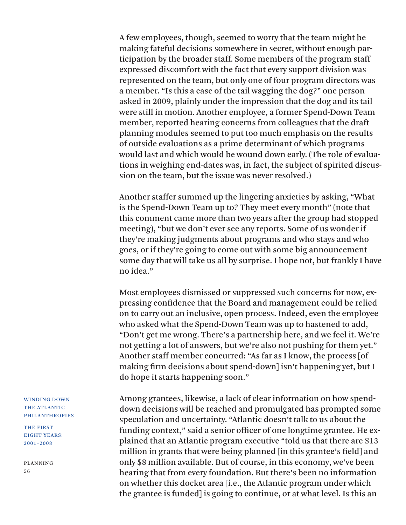A few employees, though, seemed to worry that the team might be making fateful decisions somewhere in secret, without enough participation by the broader staff. Some members of the program staff expressed discomfort with the fact that every support division was represented on the team, but only one of four program directors was a member. "Is this a case of the tail wagging the dog?" one person asked in 2009, plainly under the impression that the dog and its tail were still in motion. Another employee, a former Spend-Down Team member, reported hearing concerns from colleagues that the draft planning modules seemed to put too much emphasis on the results of outside evaluations as a prime determinant of which programs would last and which would be wound down early. (The role of evaluations in weighing end-dates was, in fact, the subject of spirited discussion on the team, but the issue was never resolved.)

Another staffer summed up the lingering anxieties by asking, "What is the Spend-Down Team up to? They meet every month" (note that this comment came more than two years after the group had stopped meeting), "but we don't ever see any reports. Some of us wonder if they're making judgments about programs and who stays and who goes, or if they're going to come out with some big announcement some day that will take us all by surprise. I hope not, but frankly I have no idea."

Most employees dismissed or suppressed such concerns for now, expressing confidence that the Board and management could be relied on to carry out an inclusive, open process. Indeed, even the employee who asked what the Spend-Down Team was up to hastened to add, "Don't get me wrong. There's a partnership here, and we feel it. We're not getting a lot of answers, but we're also not pushing for them yet." Another staff member concurred: "As far as I know, the process [of making firm decisions about spend-down] isn't happening yet, but I do hope it starts happening soon."

Among grantees, likewise, a lack of clear information on how spenddown decisions will be reached and promulgated has prompted some speculation and uncertainty. "Atlantic doesn't talk to us about the funding context," said a senior officer of one longtime grantee. He explained that an Atlantic program executive "told us that there are \$13 million in grants that were being planned [in this grantee's field] and only \$8 million available. But of course, in this economy, we've been hearing that from every foundation. But there's been no information on whether this docket area [i.e., the Atlantic program under which the grantee is funded] is going to continue, or at what level. Is this an

### WINDING DOWN THE ATLANTIC PHILANTHROPIES

THE FIRST EIGHT YEARS: 2001–2008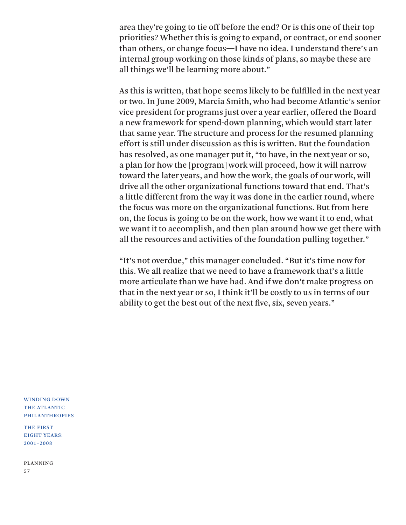area they're going to tie off before the end? Or is this one of their top priorities? Whether this is going to expand, or contract, or end sooner than others, or change focus—I have no idea. I understand there's an internal group working on those kinds of plans, so maybe these are all things we'll be learning more about."

As this is written, that hope seems likely to be fulfilled in the next year or two. In June 2009, Marcia Smith, who had become Atlantic's senior vice president for programs just over a year earlier, offered the Board a new framework for spend-down planning, which would start later that same year. The structure and process for the resumed planning effort is still under discussion as this is written. But the foundation has resolved, as one manager put it, "to have, in the next year or so, a plan for how the [program] work will proceed, how it will narrow toward the later years, and how the work, the goals of our work, will drive all the other organizational functions toward that end. That's a little different from the way it was done in the earlier round, where the focus was more on the organizational functions. But from here on, the focus is going to be on the work, how we want it to end, what we want it to accomplish, and then plan around how we get there with all the resources and activities of the foundation pulling together."

"It's not overdue," this manager concluded. "But it's time now for this. We all realize that we need to have a framework that's a little more articulate than we have had. And if we don't make progress on that in the next year or so, I think it'll be costly to us in terms of our ability to get the best out of the next five, six, seven years."

WINDING DOWN THE ATLANTIC PHILANTHROPIES

THE FIRST EIGHT YEARS: 2001–2008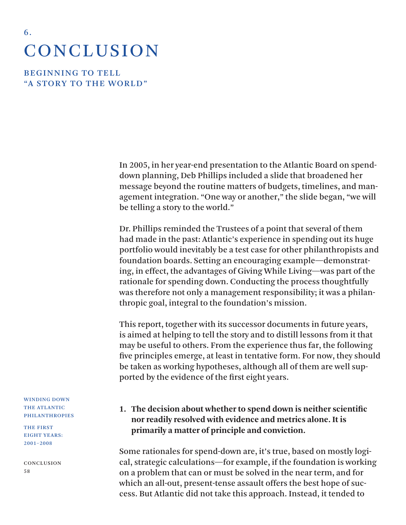# **CONCLUSION**

**BEGINNING TO TELL** "A STORY TO THE WORLD"

6 .

In 2005, in her year-end presentation to the Atlantic Board on spenddown planning, Deb Phillips included a slide that broadened her message beyond the routine matters of budgets, timelines, and management integration. "One way or another," the slide began, "we will be telling a story to the world."

Dr. Phillips reminded the Trustees of a point that several of them had made in the past: Atlantic's experience in spending out its huge portfolio would inevitably be a test case for other philanthropists and foundation boards. Setting an encouraging example—demonstrating, in effect, the advantages of Giving While Living—was part of the rationale for spending down. Conducting the process thoughtfully was therefore not only a management responsibility; it was a philanthropic goal, integral to the foundation's mission.

This report, together with its successor documents in future years, is aimed at helping to tell the story and to distill lessons from it that may be useful to others. From the experience thus far, the following five principles emerge, at least in tentative form. For now, they should be taken as working hypotheses, although all of them are well supported by the evidence of the first eight years.

**1. The decision about whether to spend down is neither scientific nor readily resolved with evidence and metrics alone. It is primarily a matter of principle and conviction.** 

Some rationales for spend-down are, it's true, based on mostly logical, strategic calculations—for example, if the foundation is working on a problem that can or must be solved in the near term, and for which an all-out, present-tense assault offers the best hope of success. But Atlantic did not take this approach. Instead, it tended to

WINDING DOWN THE ATLANTIC PHILANTHROPIES

THE FIRST EIGHT YEARS: 2001–2008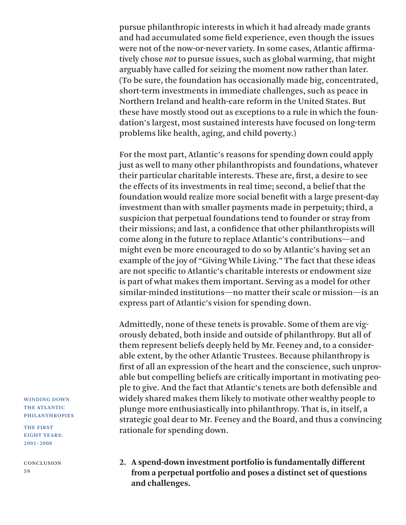pursue philanthropic interests in which it had already made grants and had accumulated some field experience, even though the issues were not of the now-or-never variety. In some cases, Atlantic affirmatively chose *not* to pursue issues, such as global warming, that might arguably have called for seizing the moment now rather than later. (To be sure, the foundation has occasionally made big, concentrated, short-term investments in immediate challenges, such as peace in Northern Ireland and health-care reform in the United States. But these have mostly stood out as exceptions to a rule in which the foundation's largest, most sustained interests have focused on long-term problems like health, aging, and child poverty.)

For the most part, Atlantic's reasons for spending down could apply just as well to many other philanthropists and foundations, whatever their particular charitable interests. These are, first, a desire to see the effects of its investments in real time; second, a belief that the foundation would realize more social benefit with a large present-day investment than with smaller payments made in perpetuity; third, a suspicion that perpetual foundations tend to founder or stray from their missions; and last, a confidence that other philanthropists will come along in the future to replace Atlantic's contributions—and might even be more encouraged to do so by Atlantic's having set an example of the joy of "Giving While Living." The fact that these ideas are not specific to Atlantic's charitable interests or endowment size is part of what makes them important. Serving as a model for other similar-minded institutions—no matter their scale or mission—is an express part of Atlantic's vision for spending down.

Admittedly, none of these tenets is provable. Some of them are vigorously debated, both inside and outside of philanthropy. But all of them represent beliefs deeply held by Mr. Feeney and, to a considerable extent, by the other Atlantic Trustees. Because philanthropy is first of all an expression of the heart and the conscience, such unprovable but compelling beliefs are critically important in motivating people to give. And the fact that Atlantic's tenets are both defensible and widely shared makes them likely to motivate other wealthy people to plunge more enthusiastically into philanthropy. That is, in itself, a strategic goal dear to Mr. Feeney and the Board, and thus a convincing rationale for spending down.

**2. A spend-down investment portfolio is fundamentally different from a perpetual portfolio and poses a distinct set of questions and challenges.**

WINDING DOWN THE ATLANTIC PHILANTHROPIES

THE FIRST EIGHT YEARS: 2001–2008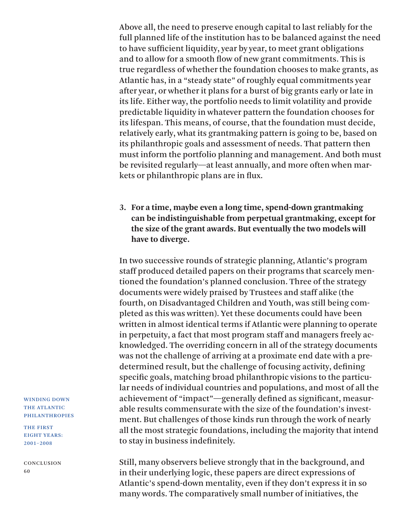Above all, the need to preserve enough capital to last reliably for the full planned life of the institution has to be balanced against the need to have sufficient liquidity, year by year, to meet grant obligations and to allow for a smooth flow of new grant commitments. This is true regardless of whether the foundation chooses to make grants, as Atlantic has, in a "steady state" of roughly equal commitments year after year, or whether it plans for a burst of big grants early or late in its life. Either way, the portfolio needs to limit volatility and provide predictable liquidity in whatever pattern the foundation chooses for its lifespan. This means, of course, that the foundation must decide, relatively early, what its grantmaking pattern is going to be, based on its philanthropic goals and assessment of needs. That pattern then must inform the portfolio planning and management. And both must be revisited regularly—at least annually, and more often when markets or philanthropic plans are in flux.

**3. For a time, maybe even a long time, spend-down grantmaking can be indistinguishable from perpetual grantmaking, except for the size of the grant awards. But eventually the two models will have to diverge.**

In two successive rounds of strategic planning, Atlantic's program staff produced detailed papers on their programs that scarcely mentioned the foundation's planned conclusion. Three of the strategy documents were widely praised by Trustees and staff alike (the fourth, on Disadvantaged Children and Youth, was still being completed as this was written). Yet these documents could have been written in almost identical terms if Atlantic were planning to operate in perpetuity, a fact that most program staff and managers freely acknowledged. The overriding concern in all of the strategy documents was not the challenge of arriving at a proximate end date with a predetermined result, but the challenge of focusing activity, defining specific goals, matching broad philanthropic visions to the particular needs of individual countries and populations, and most of all the achievement of "impact"—generally defined as significant, measurable results commensurate with the size of the foundation's investment. But challenges of those kinds run through the work of nearly all the most strategic foundations, including the majority that intend to stay in business indefinitely.

Still, many observers believe strongly that in the background, and in their underlying logic, these papers are direct expressions of Atlantic's spend-down mentality, even if they don't express it in so many words. The comparatively small number of initiatives, the

WINDING DOWN THE ATLANTIC PHILANTHROPIES

THE FIRST EIGHT YEARS: 2001–2008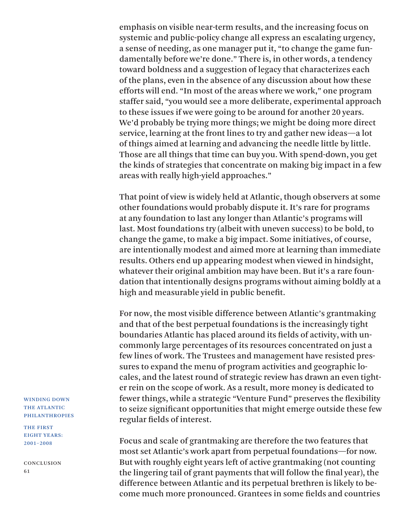emphasis on visible near-term results, and the increasing focus on systemic and public-policy change all express an escalating urgency, a sense of needing, as one manager put it, "to change the game fundamentally before we're done." There is, in other words, a tendency toward boldness and a suggestion of legacy that characterizes each of the plans, even in the absence of any discussion about how these efforts will end. "In most of the areas where we work," one program staffer said, "you would see a more deliberate, experimental approach to these issues if we were going to be around for another 20 years. We'd probably be trying more things; we might be doing more direct service, learning at the front lines to try and gather new ideas—a lot of things aimed at learning and advancing the needle little by little. Those are all things that time can buy you. With spend-down, you get the kinds of strategies that concentrate on making big impact in a few areas with really high-yield approaches."

That point of view is widely held at Atlantic, though observers at some other foundations would probably dispute it. It's rare for programs at any foundation to last any longer than Atlantic's programs will last. Most foundations try (albeit with uneven success) to be bold, to change the game, to make a big impact. Some initiatives, of course, are intentionally modest and aimed more at learning than immediate results. Others end up appearing modest when viewed in hindsight, whatever their original ambition may have been. But it's a rare foundation that intentionally designs programs without aiming boldly at a high and measurable yield in public benefit.

For now, the most visible difference between Atlantic's grantmaking and that of the best perpetual foundations is the increasingly tight boundaries Atlantic has placed around its fields of activity, with uncommonly large percentages of its resources concentrated on just a few lines of work. The Trustees and management have resisted pressures to expand the menu of program activities and geographic locales, and the latest round of strategic review has drawn an even tighter rein on the scope of work. As a result, more money is dedicated to fewer things, while a strategic "Venture Fund" preserves the flexibility to seize significant opportunities that might emerge outside these few regular fields of interest.

Focus and scale of grantmaking are therefore the two features that most set Atlantic's work apart from perpetual foundations—for now. But with roughly eight years left of active grantmaking (not counting the lingering tail of grant payments that will follow the final year), the difference between Atlantic and its perpetual brethren is likely to become much more pronounced. Grantees in some fields and countries

WINDING DOWN THE ATLANTIC PHILANTHROPIES

THE FIRST EIGHT YEARS: 2001–2008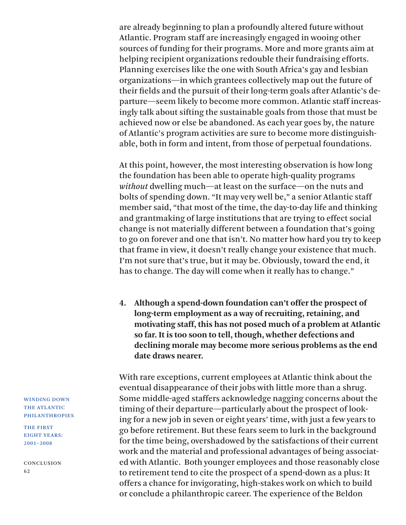are already beginning to plan a profoundly altered future without Atlantic. Program staff are increasingly engaged in wooing other sources of funding for their programs. More and more grants aim at helping recipient organizations redouble their fundraising efforts. Planning exercises like the one with South Africa's gay and lesbian organizations—in which grantees collectively map out the future of their fields and the pursuit of their long-term goals after Atlantic's departure—seem likely to become more common. Atlantic staff increasingly talk about sifting the sustainable goals from those that must be achieved now or else be abandoned. As each year goes by, the nature of Atlantic's program activities are sure to become more distinguishable, both in form and intent, from those of perpetual foundations.

At this point, however, the most interesting observation is how long the foundation has been able to operate high-quality programs *without* dwelling much—at least on the surface—on the nuts and bolts of spending down. "It may very well be," a senior Atlantic staff member said, "that most of the time, the day-to-day life and thinking and grantmaking of large institutions that are trying to effect social change is not materially different between a foundation that's going to go on forever and one that isn't. No matter how hard you try to keep that frame in view, it doesn't really change your existence that much. I'm not sure that's true, but it may be. Obviously, toward the end, it has to change. The day will come when it really has to change."

**4. Although a spend-down foundation can't offer the prospect of long-term employment as a way of recruiting, retaining, and motivating staff, this has not posed much of a problem at Atlantic so far. It is too soon to tell, though, whether defections and declining morale may become more serious problems as the end date draws nearer.**

With rare exceptions, current employees at Atlantic think about the eventual disappearance of their jobs with little more than a shrug. Some middle-aged staffers acknowledge nagging concerns about the timing of their departure—particularly about the prospect of looking for a new job in seven or eight years' time, with just a few years to go before retirement. But these fears seem to lurk in the background for the time being, overshadowed by the satisfactions of their current work and the material and professional advantages of being associated with Atlantic. Both younger employees and those reasonably close to retirement tend to cite the prospect of a spend-down as a plus: It offers a chance for invigorating, high-stakes work on which to build or conclude a philanthropic career. The experience of the Beldon

WINDING DOWN THE ATLANTIC PHILANTHROPIES

THE FIRST EIGHT YEARS: 2001–2008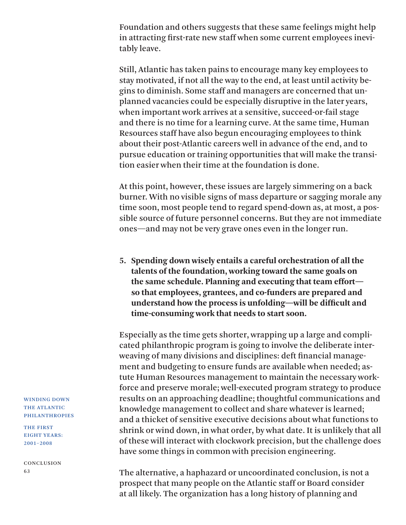Foundation and others suggests that these same feelings might help in attracting first-rate new staff when some current employees inevitably leave.

Still, Atlantic has taken pains to encourage many key employees to stay motivated, if not all the way to the end, at least until activity begins to diminish. Some staff and managers are concerned that unplanned vacancies could be especially disruptive in the later years, when important work arrives at a sensitive, succeed-or-fail stage and there is no time for a learning curve. At the same time, Human Resources staff have also begun encouraging employees to think about their post-Atlantic careers well in advance of the end, and to pursue education or training opportunities that will make the transition easier when their time at the foundation is done.

At this point, however, these issues are largely simmering on a back burner. With no visible signs of mass departure or sagging morale any time soon, most people tend to regard spend-down as, at most, a possible source of future personnel concerns. But they are not immediate ones—and may not be very grave ones even in the longer run.

**5. Spending down wisely entails a careful orchestration of all the talents of the foundation, working toward the same goals on the same schedule. Planning and executing that team effort so that employees, grantees, and co-funders are prepared and understand how the process is unfolding—will be difficult and time-consuming work that needs to start soon.**

Especially as the time gets shorter, wrapping up a large and complicated philanthropic program is going to involve the deliberate interweaving of many divisions and disciplines: deft financial management and budgeting to ensure funds are available when needed; astute Human Resources management to maintain the necessary workforce and preserve morale; well-executed program strategy to produce results on an approaching deadline; thoughtful communications and knowledge management to collect and share whatever is learned; and a thicket of sensitive executive decisions about what functions to shrink or wind down, in what order, by what date. It is unlikely that all of these will interact with clockwork precision, but the challenge does have some things in common with precision engineering.

The alternative, a haphazard or uncoordinated conclusion, is not a prospect that many people on the Atlantic staff or Board consider at all likely. The organization has a long history of planning and

WINDING DOWN THE ATLANTIC PHILANTHROPIES

THE FIRST EIGHT YEARS: 2001–2008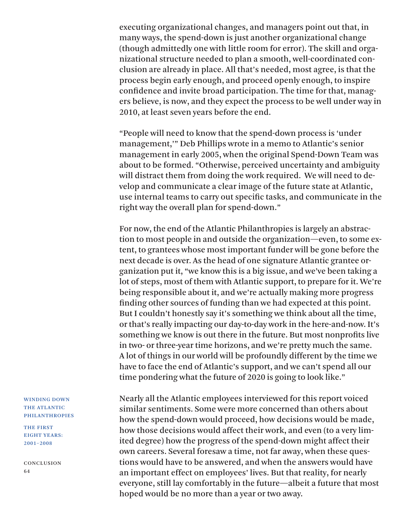executing organizational changes, and managers point out that, in many ways, the spend-down is just another organizational change (though admittedly one with little room for error). The skill and organizational structure needed to plan a smooth, well-coordinated conclusion are already in place. All that's needed, most agree, is that the process begin early enough, and proceed openly enough, to inspire confidence and invite broad participation. The time for that, managers believe, is now, and they expect the process to be well under way in 2010, at least seven years before the end.

"People will need to know that the spend-down process is 'under management,'" Deb Phillips wrote in a memo to Atlantic's senior management in early 2005, when the original Spend-Down Team was about to be formed. "Otherwise, perceived uncertainty and ambiguity will distract them from doing the work required. We will need to develop and communicate a clear image of the future state at Atlantic, use internal teams to carry out specific tasks, and communicate in the right way the overall plan for spend-down."

For now, the end of the Atlantic Philanthropies is largely an abstraction to most people in and outside the organization—even, to some extent, to grantees whose most important funder will be gone before the next decade is over. As the head of one signature Atlantic grantee organization put it, "we know this is a big issue, and we've been taking a lot of steps, most of them with Atlantic support, to prepare for it. We're being responsible about it, and we're actually making more progress finding other sources of funding than we had expected at this point. But I couldn't honestly say it's something we think about all the time, or that's really impacting our day-to-day work in the here-and-now. It's something we know is out there in the future. But most nonprofits live in two- or three-year time horizons, and we're pretty much the same. A lot of things in our world will be profoundly different by the time we have to face the end of Atlantic's support, and we can't spend all our time pondering what the future of 2020 is going to look like."

Nearly all the Atlantic employees interviewed for this report voiced similar sentiments. Some were more concerned than others about how the spend-down would proceed, how decisions would be made, how those decisions would affect their work, and even (to a very limited degree) how the progress of the spend-down might affect their own careers. Several foresaw a time, not far away, when these questions would have to be answered, and when the answers would have an important effect on employees' lives. But that reality, for nearly everyone, still lay comfortably in the future—albeit a future that most hoped would be no more than a year or two away.

### WINDING DOWN THE ATLANTIC PHILANTHROPIES

THE FIRST EIGHT YEARS: 2001–2008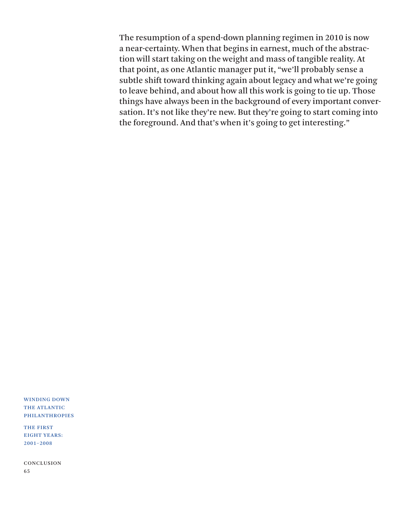The resumption of a spend-down planning regimen in 2010 is now a near-certainty. When that begins in earnest, much of the abstraction will start taking on the weight and mass of tangible reality. At that point, as one Atlantic manager put it, "we'll probably sense a subtle shift toward thinking again about legacy and what we're going to leave behind, and about how all this work is going to tie up. Those things have always been in the background of every important conversation. It's not like they're new. But they're going to start coming into the foreground. And that's when it's going to get interesting."

WINDING DOWN THE ATLANTIC PHILANTHROPIES

THE FIRST EIGHT YEARS: 2001–2008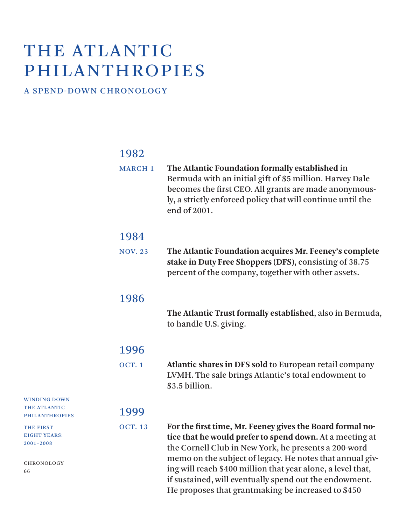# THE ATLANTIC PHILANTHROPIES

### A SPEND-DOWN CHRONOLOGY

WINDING DOWN THE ATLANTIC PHILANTHROPIES

THE FIRST EIGHT YEARS: 2001–2008

CHRONOLOGY

66

## 1982

| <b>MARCH 1</b> | The Atlantic Foundation formally established in<br>Bermuda with an initial gift of \$5 million. Harvey Dale<br>becomes the first CEO. All grants are made anonymous-<br>ly, a strictly enforced policy that will continue until the<br>end of 2001.                                                                                                                |
|----------------|--------------------------------------------------------------------------------------------------------------------------------------------------------------------------------------------------------------------------------------------------------------------------------------------------------------------------------------------------------------------|
| 1984           |                                                                                                                                                                                                                                                                                                                                                                    |
| <b>NOV. 23</b> | The Atlantic Foundation acquires Mr. Feeney's complete<br>stake in Duty Free Shoppers (DFS), consisting of 38.75<br>percent of the company, together with other assets.                                                                                                                                                                                            |
| 1986           |                                                                                                                                                                                                                                                                                                                                                                    |
|                | The Atlantic Trust formally established, also in Bermuda,<br>to handle U.S. giving.                                                                                                                                                                                                                                                                                |
| 1996           |                                                                                                                                                                                                                                                                                                                                                                    |
| <b>OCT. 1</b>  | Atlantic shares in DFS sold to European retail company<br>LVMH. The sale brings Atlantic's total endowment to<br>\$3.5 billion.                                                                                                                                                                                                                                    |
| 1999           |                                                                                                                                                                                                                                                                                                                                                                    |
| <b>OCT. 13</b> | For the first time, Mr. Feeney gives the Board formal no-<br>tice that he would prefer to spend down. At a meeting at<br>the Cornell Club in New York, he presents a 200-word<br>memo on the subject of legacy. He notes that annual giv-<br>ing will reach \$400 million that year alone, a level that,<br>if sustained, will eventually spend out the endowment. |

He proposes that grantmaking be increased to \$450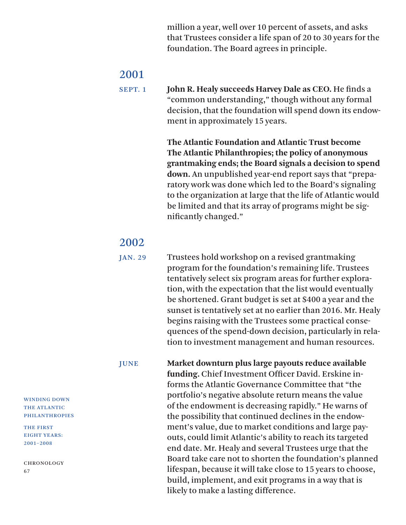million a year, well over 10 percent of assets, and asks that Trustees consider a life span of 20 to 30 years for the foundation. The Board agrees in principle.

2001 SEPT. 1  **John R. Healy succeeds Harvey Dale as CEO.** He finds a "common understanding," though without any formal decision, that the foundation will spend down its endowment in approximately 15 years.

> **The Atlantic Foundation and Atlantic Trust become The Atlantic Philanthropies; the policy of anonymous grantmaking ends; the Board signals a decision to spend down.** An unpublished year-end report says that "preparatory work was done which led to the Board's signaling to the organization at large that the life of Atlantic would be limited and that its array of programs might be significantly changed."

2002<br>JAN. 29 Trustees hold workshop on a revised grantmaking program for the foundation's remaining life. Trustees tentatively select six program areas for further exploration, with the expectation that the list would eventually be shortened. Grant budget is set at \$400 a year and the sunset is tentatively set at no earlier than 2016. Mr. Healy begins raising with the Trustees some practical consequences of the spend-down decision, particularly in relation to investment management and human resources.

JUNE **Market downturn plus large payouts reduce available funding.** Chief Investment Officer David. Erskine informs the Atlantic Governance Committee that "the portfolio's negative absolute return means the value of the endowment is decreasing rapidly." He warns of the possibility that continued declines in the endowment's value, due to market conditions and large payouts, could limit Atlantic's ability to reach its targeted end date. Mr. Healy and several Trustees urge that the Board take care not to shorten the foundation's planned lifespan, because it will take close to 15 years to choose, build, implement, and exit programs in a way that is likely to make a lasting difference.

WINDING DOWN THE ATLANTIC PHILANTHROPIES

THE FIRST EIGHT YEARS: 2001–2008

CHRONOLOGY 67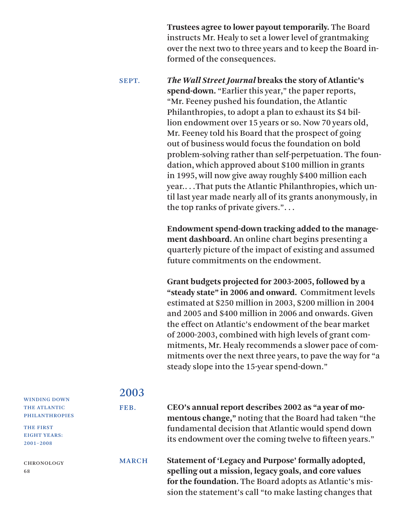**Trustees agree to lower payout temporarily.** The Board instructs Mr. Healy to set a lower level of grantmaking over the next two to three years and to keep the Board informed of the consequences.

SEPT. *The Wall Street Journal* **breaks the story of Atlantic's spend-down.** "Earlier this year," the paper reports, "Mr. Feeney pushed his foundation, the Atlantic Philanthropies, to adopt a plan to exhaust its \$4 billion endowment over 15 years or so. Now 70 years old, Mr. Feeney told his Board that the prospect of going out of business would focus the foundation on bold problem-solving rather than self-perpetuation. The foundation, which approved about \$100 million in grants in 1995, will now give away roughly \$400 million each year.. . .That puts the Atlantic Philanthropies, which until last year made nearly all of its grants anonymously, in the top ranks of private givers.". . .

> **Endowment spend-down tracking added to the management dashboard.** An online chart begins presenting a quarterly picture of the impact of existing and assumed future commitments on the endowment.

 **Grant budgets projected for 2003-2005, followed by a "steady state" in 2006 and onward.** Commitment levels estimated at \$250 million in 2003, \$200 million in 2004 and 2005 and \$400 million in 2006 and onwards. Given the effect on Atlantic's endowment of the bear market of 2000-2003, combined with high levels of grant commitments, Mr. Healy recommends a slower pace of commitments over the next three years, to pave the way for "a steady slope into the 15-year spend-down."

## 2003 FEB. **CEO's annual report describes 2002 as "a year of momentous change,"** noting that the Board had taken "the fundamental decision that Atlantic would spend down its endowment over the coming twelve to fifteen years."

MARCH **Statement of 'Legacy and Purpose' formally adopted, spelling out a mission, legacy goals, and core values for the foundation.** The Board adopts as Atlantic's mission the statement's call "to make lasting changes that

### WINDING DOWN THE ATLANTIC

PHILANTHROPIES THE FIRST

EIGHT YEARS: 2001–2008

CHRONOLOGY 68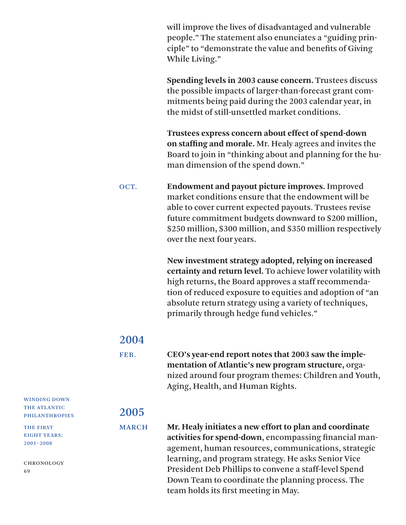will improve the lives of disadvantaged and vulnerable people." The statement also enunciates a "guiding principle" to "demonstrate the value and benefits of Giving While Living."

 **Spending levels in 2003 cause concern.** Trustees discuss the possible impacts of larger-than-forecast grant commitments being paid during the 2003 calendar year, in the midst of still-unsettled market conditions.

 **Trustees express concern about effect of spend-down on staffing and morale.** Mr. Healy agrees and invites the Board to join in "thinking about and planning for the human dimension of the spend down."

OCT. **Endowment and payout picture improves.** Improved market conditions ensure that the endowment will be able to cover current expected payouts. Trustees revise future commitment budgets downward to \$200 million, \$250 million, \$300 million, and \$350 million respectively over the next four years.

> **New investment strategy adopted, relying on increased certainty and return level.** To achieve lower volatility with high returns, the Board approves a staff recommendation of reduced exposure to equities and adoption of "an absolute return strategy using a variety of techniques, primarily through hedge fund vehicles."

### 2004

FEB. **CEO's year-end report notes that 2003 saw the implementation of Atlantic's new program structure,** organized around four program themes: Children and Youth, Aging, Health, and Human Rights.

## 2005

MARCH **Mr. Healy initiates a new effort to plan and coordinate activities for spend-down**, encompassing financial management, human resources, communications, strategic learning, and program strategy. He asks Senior Vice President Deb Phillips to convene a staff-level Spend Down Team to coordinate the planning process. The team holds its first meeting in May.

WINDING DOWN THE ATLANTIC PHILANTHROPIES

THE FIRST EIGHT YEARS: 2001–2008

CHRONOLOGY 69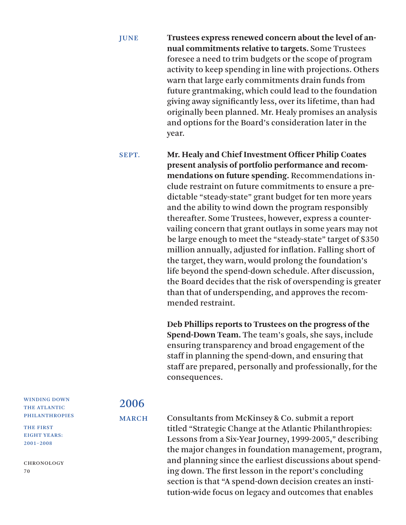JUNE **Trustees express renewed concern about the level of annual commitments relative to targets.** Some Trustees foresee a need to trim budgets or the scope of program activity to keep spending in line with projections. Others warn that large early commitments drain funds from future grantmaking, which could lead to the foundation giving away significantly less, over its lifetime, than had originally been planned. Mr. Healy promises an analysis and options for the Board's consideration later in the year.

SEPT. **Mr. Healy and Chief Investment Officer Philip Coates present analysis of portfolio performance and recommendations on future spending.** Recommendations include restraint on future commitments to ensure a predictable "steady-state" grant budget for ten more years and the ability to wind down the program responsibly thereafter. Some Trustees, however, express a countervailing concern that grant outlays in some years may not be large enough to meet the "steady-state" target of \$350 million annually, adjusted for inflation. Falling short of the target, they warn, would prolong the foundation's life beyond the spend-down schedule. After discussion, the Board decides that the risk of overspending is greater than that of underspending, and approves the recommended restraint.

> **Deb Phillips reports to Trustees on the progress of the Spend-Down Team.** The team's goals, she says, include ensuring transparency and broad engagement of the staff in planning the spend-down, and ensuring that staff are prepared, personally and professionally, for the consequences.

WINDING DOWN THE ATLANTIC PHILANTHROPIES

THE FIRST EIGHT YEARS: 2001–2008

CHRONOLOGY 70

## 2006

MARCH Consultants from McKinsey & Co. submit a report titled "Strategic Change at the Atlantic Philanthropies: Lessons from a Six-Year Journey, 1999-2005," describing the major changes in foundation management, program, and planning since the earliest discussions about spending down. The first lesson in the report's concluding section is that "A spend-down decision creates an institution-wide focus on legacy and outcomes that enables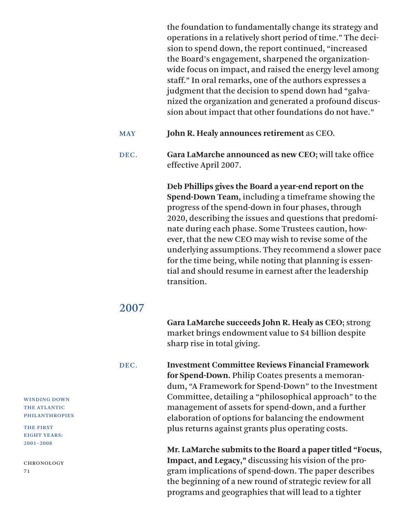the foundation to fundamentally change its strategy and operations in a relatively short period of time." The decision to spend down, the report continued, "increased the Board's engagement, sharpened the organizationwide focus on impact, and raised the energy level among staff." In oral remarks, one of the authors expresses a judgment that the decision to spend down had "galvanized the organization and generated a profound discussion about impact that other foundations do not have."

MAY **John R. Healy announces retirement** as CEO.

DEC. **Gara LaMarche announced as new CEO**; will take office effective April 2007.

> **Deb Phillips gives the Board a year-end report on the Spend-Down Team,** including a timeframe showing the progress of the spend-down in four phases, through 2020, describing the issues and questions that predominate during each phase. Some Trustees caution, however, that the new CEO may wish to revise some of the underlying assumptions. They recommend a slower pace for the time being, while noting that planning is essential and should resume in earnest after the leadership transition.

## 2007

 **Gara LaMarche succeeds John R. Healy as CEO**; strong market brings endowment value to \$4 billion despite sharp rise in total giving.

DEC. **Investment Committee Reviews Financial Framework for Spend-Down.** Philip Coates presents a memorandum, "A Framework for Spend-Down" to the Investment Committee, detailing a "philosophical approach" to the management of assets for spend-down, and a further elaboration of options for balancing the endowment plus returns against grants plus operating costs.

> **Mr. LaMarche submits to the Board a paper titled "Focus, Impact, and Legacy,"** discussing his vision of the program implications of spend-down. The paper describes the beginning of a new round of strategic review for all programs and geographies that will lead to a tighter

WINDING DOWN THE ATLANTIC PHILANTHROPIES

THE FIRST EIGHT YEARS: 2001–2008

CHRONOLOGY 71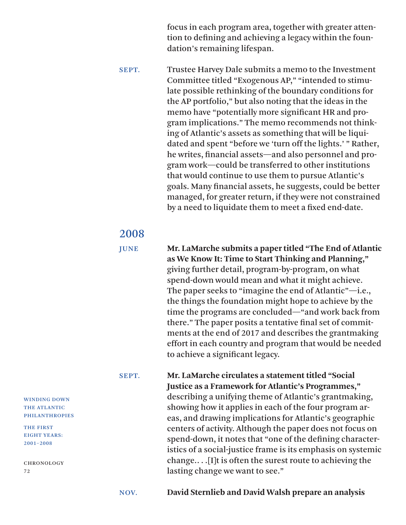focus in each program area, together with greater attention to defining and achieving a legacy within the foundation's remaining lifespan.

SEPT. Trustee Harvey Dale submits a memo to the Investment Committee titled "Exogenous AP," "intended to stimulate possible rethinking of the boundary conditions for the AP portfolio," but also noting that the ideas in the memo have "potentially more significant HR and program implications." The memo recommends not thinking of Atlantic's assets as something that will be liquidated and spent "before we 'turn off the lights.' " Rather, he writes, financial assets—and also personnel and program work—could be transferred to other institutions that would continue to use them to pursue Atlantic's goals. Many financial assets, he suggests, could be better managed, for greater return, if they were not constrained by a need to liquidate them to meet a fixed end-date.

# 2008 JUNE **Mr. LaMarche submits <sup>a</sup> paper titled "The End of Atlantic as We Know It: Time to Start Thinking and Planning,"** giving further detail, program-by-program, on what spend-down would mean and what it might achieve. The paper seeks to "imagine the end of Atlantic"—i.e., the things the foundation might hope to achieve by the time the programs are concluded—"and work back from there." The paper posits a tentative final set of commitments at the end of 2017 and describes the grantmaking effort in each country and program that would be needed to achieve a significant legacy.

SEPT. **Mr. LaMarche circulates a statement titled "Social Justice as a Framework for Atlantic's Programmes,"** describing a unifying theme of Atlantic's grantmaking, showing how it applies in each of the four program areas, and drawing implications for Atlantic's geographic centers of activity. Although the paper does not focus on spend-down, it notes that "one of the defining characteristics of a social-justice frame is its emphasis on systemic change.. . .[I]t is often the surest route to achieving the lasting change we want to see."

NOV. **David Sternlieb and David Walsh prepare an analysis**

WINDING DOWN THE ATLANTIC PHILANTHROPIES

THE FIRST EIGHT YEARS: 2001–2008

CHRONOLOGY 72